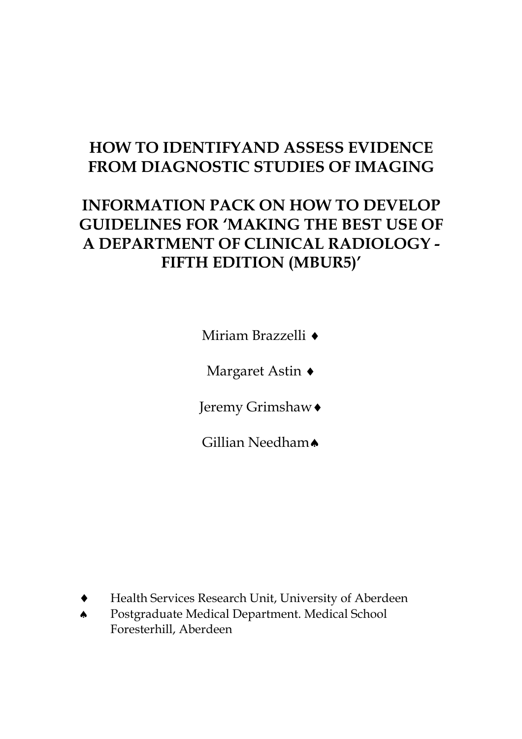# **HOW TO IDENTIFYAND ASSESS EVIDENCE FROM DIAGNOSTIC STUDIES OF IMAGING**

# **INFORMATION PACK ON HOW TO DEVELOP GUIDELINES FOR 'MAKING THE BEST USE OF A DEPARTMENT OF CLINICAL RADIOLOGY - FIFTH EDITION (MBUR5)'**

Miriam Brazzelli ♦

Margaret Astin ♦

Jeremy Grimshaw♦

Gillian Needham▲

- Health Services Research Unit, University of Aberdeen
- ♠ Postgraduate Medical Department. Medical School Foresterhill, Aberdeen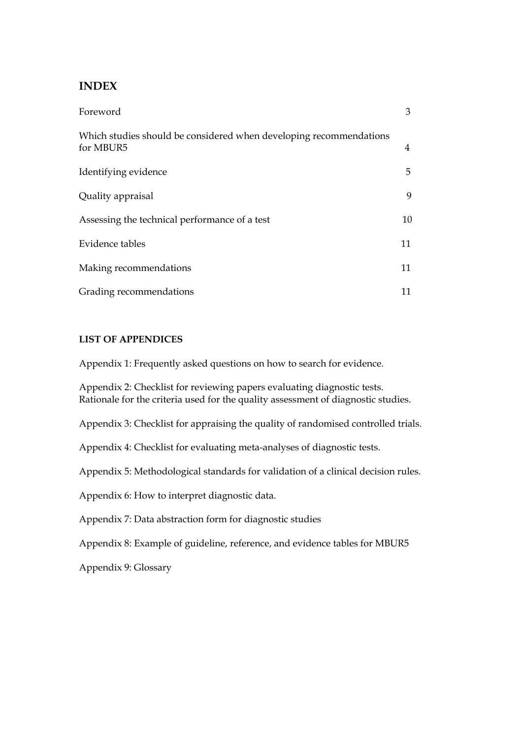## **INDEX**

| Foreword                                                                        | 3  |
|---------------------------------------------------------------------------------|----|
| Which studies should be considered when developing recommendations<br>for MBUR5 | 4  |
| Identifying evidence                                                            | 5. |
| Quality appraisal                                                               | 9  |
| Assessing the technical performance of a test                                   | 10 |
| Evidence tables                                                                 | 11 |
| Making recommendations                                                          | 11 |
| Grading recommendations                                                         | 11 |

## **LIST OF APPENDICES**

Appendix 1: Frequently asked questions on how to search for evidence.

Appendix 2: Checklist for reviewing papers evaluating diagnostic tests. Rationale for the criteria used for the quality assessment of diagnostic studies.

Appendix 3: Checklist for appraising the quality of randomised controlled trials.

Appendix 4: Checklist for evaluating meta-analyses of diagnostic tests.

Appendix 5: Methodological standards for validation of a clinical decision rules.

Appendix 6: How to interpret diagnostic data.

Appendix 7: Data abstraction form for diagnostic studies

Appendix 8: Example of guideline, reference, and evidence tables for MBUR5

Appendix 9: Glossary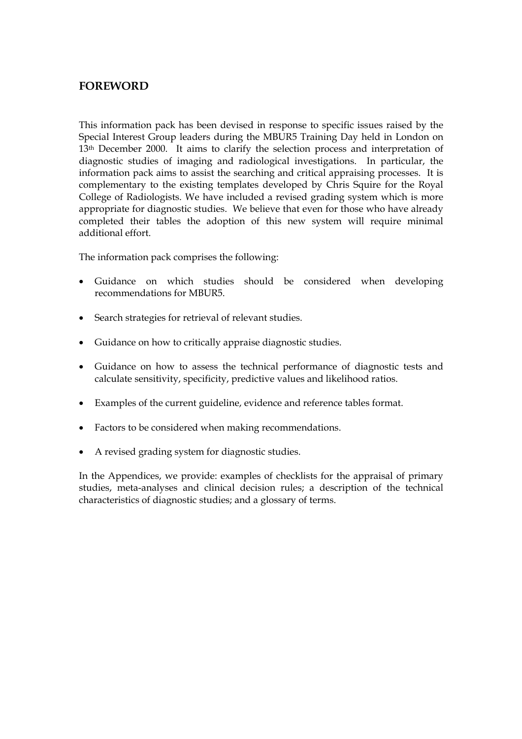# **FOREWORD**

This information pack has been devised in response to specific issues raised by the Special Interest Group leaders during the MBUR5 Training Day held in London on 13<sup>th</sup> December 2000. It aims to clarify the selection process and interpretation of diagnostic studies of imaging and radiological investigations. In particular, the information pack aims to assist the searching and critical appraising processes. It is complementary to the existing templates developed by Chris Squire for the Royal College of Radiologists. We have included a revised grading system which is more appropriate for diagnostic studies. We believe that even for those who have already completed their tables the adoption of this new system will require minimal additional effort.

The information pack comprises the following:

- Guidance on which studies should be considered when developing recommendations for MBUR5.
- Search strategies for retrieval of relevant studies.
- Guidance on how to critically appraise diagnostic studies.
- Guidance on how to assess the technical performance of diagnostic tests and calculate sensitivity, specificity, predictive values and likelihood ratios.
- Examples of the current guideline, evidence and reference tables format.
- Factors to be considered when making recommendations.
- A revised grading system for diagnostic studies.

In the Appendices, we provide: examples of checklists for the appraisal of primary studies, meta-analyses and clinical decision rules; a description of the technical characteristics of diagnostic studies; and a glossary of terms.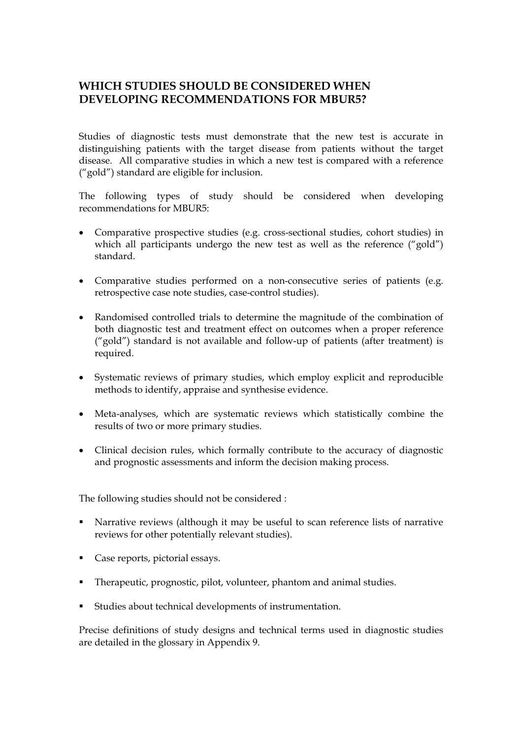# **WHICH STUDIES SHOULD BE CONSIDERED WHEN DEVELOPING RECOMMENDATIONS FOR MBUR5?**

Studies of diagnostic tests must demonstrate that the new test is accurate in distinguishing patients with the target disease from patients without the target disease. All comparative studies in which a new test is compared with a reference ("gold") standard are eligible for inclusion.

The following types of study should be considered when developing recommendations for MBUR5:

- Comparative prospective studies (e.g. cross-sectional studies, cohort studies) in which all participants undergo the new test as well as the reference ("gold") standard.
- Comparative studies performed on a non-consecutive series of patients (e.g. retrospective case note studies, case-control studies).
- Randomised controlled trials to determine the magnitude of the combination of both diagnostic test and treatment effect on outcomes when a proper reference ("gold") standard is not available and follow-up of patients (after treatment) is required.
- Systematic reviews of primary studies, which employ explicit and reproducible methods to identify, appraise and synthesise evidence.
- Meta-analyses, which are systematic reviews which statistically combine the results of two or more primary studies.
- Clinical decision rules, which formally contribute to the accuracy of diagnostic and prognostic assessments and inform the decision making process.

The following studies should not be considered :

- Narrative reviews (although it may be useful to scan reference lists of narrative reviews for other potentially relevant studies).
- Case reports, pictorial essays.
- Therapeutic, prognostic, pilot, volunteer, phantom and animal studies.
- Studies about technical developments of instrumentation.

Precise definitions of study designs and technical terms used in diagnostic studies are detailed in the glossary in Appendix 9.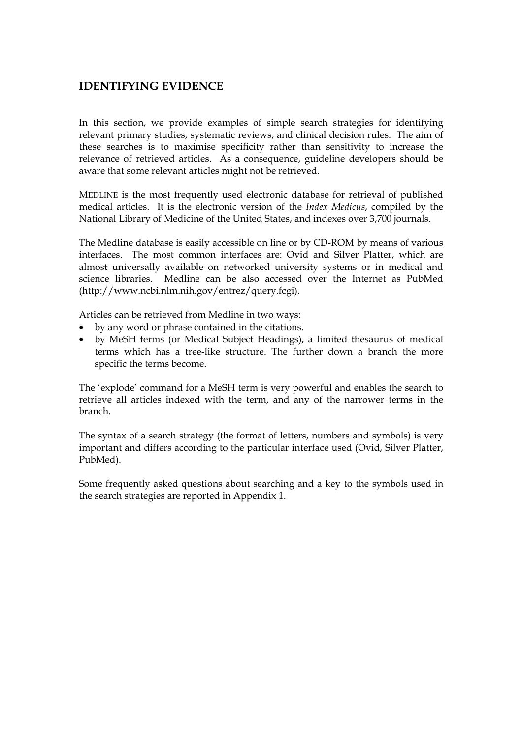# **IDENTIFYING EVIDENCE**

In this section, we provide examples of simple search strategies for identifying relevant primary studies, systematic reviews, and clinical decision rules. The aim of these searches is to maximise specificity rather than sensitivity to increase the relevance of retrieved articles. As a consequence, guideline developers should be aware that some relevant articles might not be retrieved.

MEDLINE is the most frequently used electronic database for retrieval of published medical articles. It is the electronic version of the *Index Medicus*, compiled by the National Library of Medicine of the United States, and indexes over 3,700 journals.

The Medline database is easily accessible on line or by CD-ROM by means of various interfaces. The most common interfaces are: Ovid and Silver Platter, which are almost universally available on networked university systems or in medical and science libraries. Medline can be also accessed over the Internet as PubMed (http://www.ncbi.nlm.nih.gov/entrez/query.fcgi).

Articles can be retrieved from Medline in two ways:

- by any word or phrase contained in the citations.
- by MeSH terms (or Medical Subject Headings), a limited thesaurus of medical terms which has a tree-like structure. The further down a branch the more specific the terms become.

The 'explode' command for a MeSH term is very powerful and enables the search to retrieve all articles indexed with the term, and any of the narrower terms in the branch.

The syntax of a search strategy (the format of letters, numbers and symbols) is very important and differs according to the particular interface used (Ovid, Silver Platter, PubMed).

Some frequently asked questions about searching and a key to the symbols used in the search strategies are reported in Appendix 1.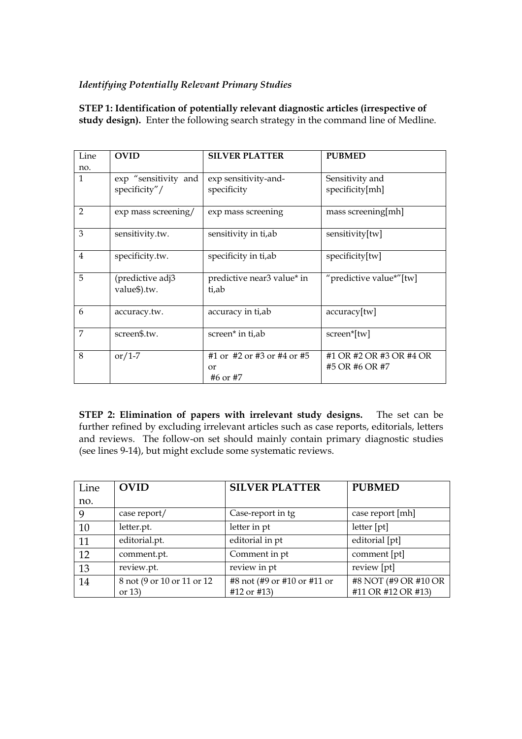## *Identifying Potentially Relevant Primary Studies*

**STEP 1: Identification of potentially relevant diagnostic articles (irrespective of study design).** Enter the following search strategy in the command line of Medline.

| Line           | <b>OVID</b>                      | <b>SILVER PLATTER</b>                  | <b>PUBMED</b>           |
|----------------|----------------------------------|----------------------------------------|-------------------------|
| no.            |                                  |                                        |                         |
| $\mathbf{1}$   | exp "sensitivity and             | exp sensitivity-and-                   | Sensitivity and         |
|                | specificity"/                    | specificity                            | specificity[mh]         |
| $\overline{2}$ | exp mass screening/              | exp mass screening                     | mass screening[mh]      |
| 3              | sensitivity.tw.                  | sensitivity in ti,ab                   | sensitivity[tw]         |
| $\overline{4}$ | specificity.tw.                  | specificity in ti,ab                   | specificity[tw]         |
| 5              | (predictive adj3<br>value\$).tw. | predictive near3 value* in<br>ti,ab    | "predictive value*"[tw] |
| 6              | accuracy.tw.                     | accuracy in ti,ab                      | $accuracy$ [tw]         |
| 7              | screen\$.tw.                     | screen* in ti,ab                       | screen*[tw]             |
| 8              | or/1-7                           | #1 or $\#2$ or $\#3$ or $\#4$ or $\#5$ | #1 OR #2 OR #3 OR #4 OR |
|                |                                  | or                                     | #5 OR #6 OR #7          |
|                |                                  | #6 or #7                               |                         |

**STEP 2: Elimination of papers with irrelevant study designs.** The set can be further refined by excluding irrelevant articles such as case reports, editorials, letters and reviews. The follow-on set should mainly contain primary diagnostic studies (see lines 9-14), but might exclude some systematic reviews.

| Line | <b>OVID</b>                 | <b>SILVER PLATTER</b>       | <b>PUBMED</b>        |
|------|-----------------------------|-----------------------------|----------------------|
| no.  |                             |                             |                      |
| 9    | case report/                | Case-report in tg           | case report [mh]     |
| 10   | letter.pt.                  | letter in pt                | letter [pt]          |
| 11   | editorial.pt.               | editorial in pt             | editorial [pt]       |
| 12   | comment.pt.                 | Comment in pt               | comment [pt]         |
| 13   | review.pt.                  | review in pt                | review [pt]          |
| 14   | 8 not (9 or 10 or 11 or 12) | #8 not (#9 or #10 or #11 or | #8 NOT (#9 OR #10 OR |
|      | or $13)$                    | #12 or #13)                 | #11 OR #12 OR #13)   |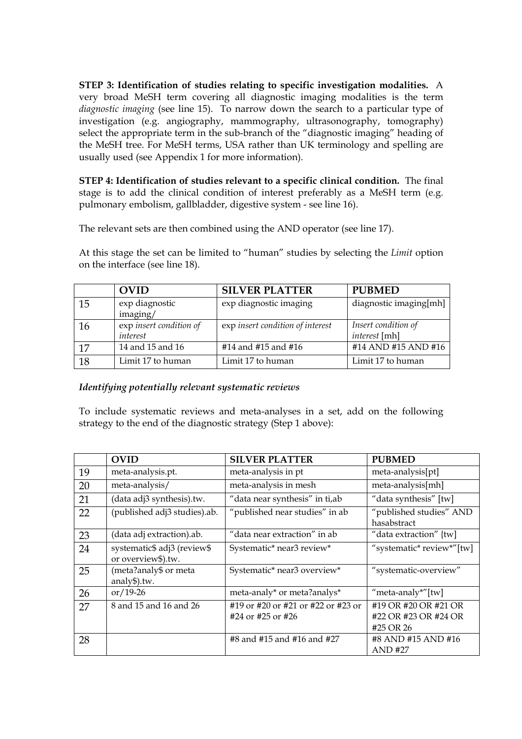**STEP 3: Identification of studies relating to specific investigation modalities.** A very broad MeSH term covering all diagnostic imaging modalities is the term *diagnostic imaging* (see line 15). To narrow down the search to a particular type of investigation (e.g. angiography, mammography, ultrasonography, tomography) select the appropriate term in the sub-branch of the "diagnostic imaging" heading of the MeSH tree. For MeSH terms, USA rather than UK terminology and spelling are usually used (see Appendix 1 for more information).

**STEP 4: Identification of studies relevant to a specific clinical condition.** The final stage is to add the clinical condition of interest preferably as a MeSH term (e.g. pulmonary embolism, gallbladder, digestive system - see line 16).

The relevant sets are then combined using the AND operator (see line 17).

At this stage the set can be limited to "human" studies by selecting the *Limit* option on the interface (see line 18).

|    | <b>OVID</b>             | <b>SILVER PLATTER</b>            | <b>PUBMED</b>          |
|----|-------------------------|----------------------------------|------------------------|
| 15 | exp diagnostic          | exp diagnostic imaging           | diagnostic imaging[mh] |
|    | imaging/                |                                  |                        |
| 16 | exp insert condition of | exp insert condition of interest | Insert condition of    |
|    | interest                |                                  | <i>interest</i> [mh]   |
| 17 | 14 and 15 and 16        | #14 and #15 and #16              | #14 AND #15 AND #16    |
| 18 | Limit 17 to human       | Limit 17 to human                | Limit 17 to human      |

## *Identifying potentially relevant systematic reviews*

To include systematic reviews and meta-analyses in a set, add on the following strategy to the end of the diagnostic strategy (Step 1 above):

|    | <b>OVID</b>                                       | <b>SILVER PLATTER</b>                                   | <b>PUBMED</b>                                             |
|----|---------------------------------------------------|---------------------------------------------------------|-----------------------------------------------------------|
| 19 | meta-analysis.pt.                                 | meta-analysis in pt                                     | meta-analysis[pt]                                         |
| 20 | meta-analysis/                                    | meta-analysis in mesh                                   | meta-analysis[mh]                                         |
| 21 | (data adj3 synthesis).tw.                         | "data near synthesis" in ti,ab                          | "data synthesis" [tw]                                     |
| 22 | (published adj3 studies).ab.                      | "published near studies" in ab                          | "published studies" AND<br>hasabstract                    |
| 23 | (data adj extraction).ab.                         | "data near extraction" in ab                            | "data extraction" {tw]                                    |
| 24 | systematic\$ adj3 (review\$<br>or overview\$).tw. | Systematic* near3 review*                               | "systematic* review*"[tw]                                 |
| 25 | (meta?analy\$ or meta<br>analy\$).tw.             | Systematic* near3 overview*                             | "systematic-overview"                                     |
| 26 | $or/19-26$                                        | meta-analy* or meta?analys*                             | "meta-analy*"[tw]                                         |
| 27 | 8 and 15 and 16 and 26                            | #19 or #20 or #21 or #22 or #23 or<br>#24 or #25 or #26 | #19 OR #20 OR #21 OR<br>#22 OR #23 OR #24 OR<br>#25 OR 26 |
| 28 |                                                   | #8 and #15 and #16 and #27                              | #8 AND #15 AND #16<br><b>AND #27</b>                      |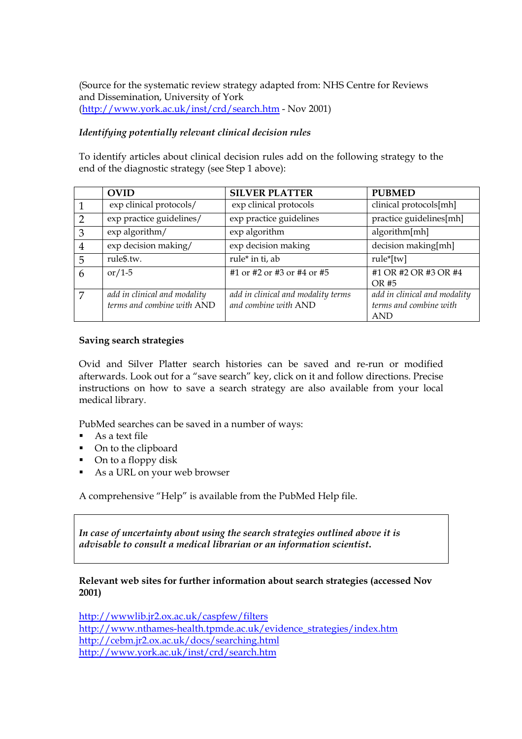(Source for the systematic review strategy adapted from: NHS Centre for Reviews and Dissemination, University of York (<http://www.york.ac.uk/inst/crd/search.htm>- Nov 2001)

## *Identifying potentially relevant clinical decision rules*

To identify articles about clinical decision rules add on the following strategy to the end of the diagnostic strategy (see Step 1 above):

|               | <b>OVID</b>                                                | <b>SILVER PLATTER</b>                                      | <b>PUBMED</b>                                                        |
|---------------|------------------------------------------------------------|------------------------------------------------------------|----------------------------------------------------------------------|
|               | exp clinical protocols/                                    | exp clinical protocols                                     | clinical protocols[mh]                                               |
| $\mathcal{D}$ | exp practice guidelines/                                   | exp practice guidelines                                    | practice guidelines[mh]                                              |
| 3             | exp algorithm/                                             | exp algorithm                                              | algorithm[mh]                                                        |
| 4             | exp decision making/                                       | exp decision making                                        | decision making[mh]                                                  |
| 5             | rule\$.tw.                                                 | rule* in ti, ab                                            | rule*[tw]                                                            |
| 6             | or/1-5                                                     | #1 or #2 or #3 or #4 or #5                                 | #1 OR #2 OR #3 OR #4<br>OR #5                                        |
| 7             | add in clinical and modality<br>terms and combine with AND | add in clinical and modality terms<br>and combine with AND | add in clinical and modality<br>terms and combine with<br><b>AND</b> |

#### **Saving search strategies**

Ovid and Silver Platter search histories can be saved and re-run or modified afterwards. Look out for a "save search" key, click on it and follow directions. Precise instructions on how to save a search strategy are also available from your local medical library.

PubMed searches can be saved in a number of ways:

- As a text file
- On to the clipboard
- On to a floppy disk
- As a URL on your web browser

A comprehensive "Help" is available from the PubMed Help file.

*In case of uncertainty about using the search strategies outlined above it is advisable to consult a medical librarian or an information scientist***.** 

## **Relevant web sites for further information about search strategies (accessed Nov 2001)**

<http://wwwlib.jr2.ox.ac.uk/caspfew/filters> [http://www.nthames-health.tpmde.ac.uk/evidence\\_strategies/index.htm](http://www.nthames-health.tpmde.ac.uk/evidence_strategies/index.htm) <http://cebm.jr2.ox.ac.uk/docs/searching.html> <http://www.york.ac.uk/inst/crd/search.htm>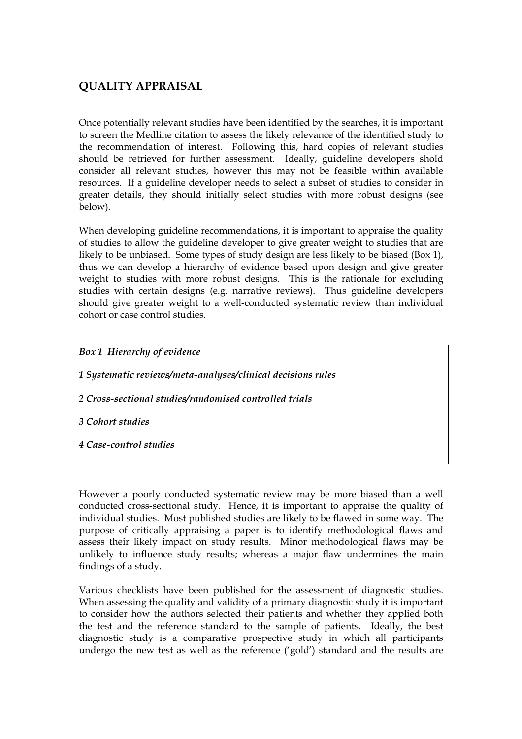# **QUALITY APPRAISAL**

Once potentially relevant studies have been identified by the searches, it is important to screen the Medline citation to assess the likely relevance of the identified study to the recommendation of interest. Following this, hard copies of relevant studies should be retrieved for further assessment. Ideally, guideline developers shold consider all relevant studies, however this may not be feasible within available resources. If a guideline developer needs to select a subset of studies to consider in greater details, they should initially select studies with more robust designs (see below).

When developing guideline recommendations, it is important to appraise the quality of studies to allow the guideline developer to give greater weight to studies that are likely to be unbiased. Some types of study design are less likely to be biased (Box 1), thus we can develop a hierarchy of evidence based upon design and give greater weight to studies with more robust designs. This is the rationale for excluding studies with certain designs (e.g. narrative reviews). Thus guideline developers should give greater weight to a well-conducted systematic review than individual cohort or case control studies.

*Box 1 Hierarchy of evidence* 

*1 Systematic reviews/meta-analyses/clinical decisions rules* 

*2 Cross-sectional studies/randomised controlled trials* 

*3 Cohort studies* 

*4 Case-control studies*

However a poorly conducted systematic review may be more biased than a well conducted cross-sectional study. Hence, it is important to appraise the quality of individual studies. Most published studies are likely to be flawed in some way. The purpose of critically appraising a paper is to identify methodological flaws and assess their likely impact on study results. Minor methodological flaws may be unlikely to influence study results; whereas a major flaw undermines the main findings of a study.

Various checklists have been published for the assessment of diagnostic studies. When assessing the quality and validity of a primary diagnostic study it is important to consider how the authors selected their patients and whether they applied both the test and the reference standard to the sample of patients. Ideally, the best diagnostic study is a comparative prospective study in which all participants undergo the new test as well as the reference ('gold') standard and the results are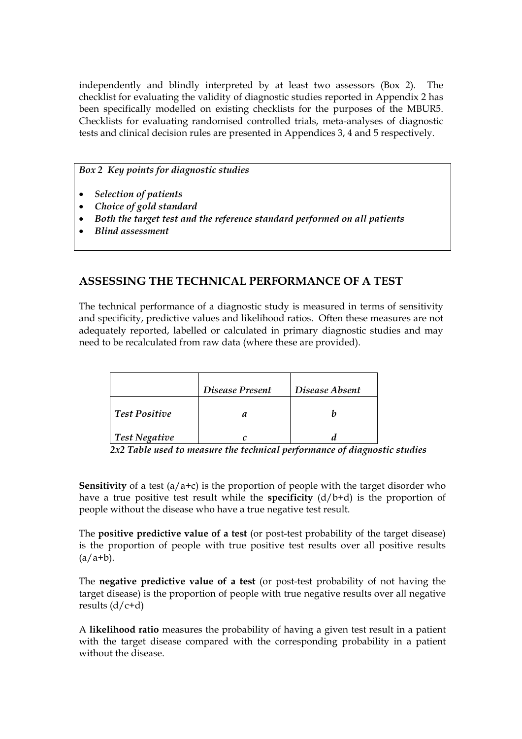independently and blindly interpreted by at least two assessors (Box 2). The checklist for evaluating the validity of diagnostic studies reported in Appendix 2 has been specifically modelled on existing checklists for the purposes of the MBUR5. Checklists for evaluating randomised controlled trials, meta-analyses of diagnostic tests and clinical decision rules are presented in Appendices 3, 4 and 5 respectively.

## *Box 2 Key points for diagnostic studies*

- *Selection of patients*
- *Choice of gold standard*
- *Both the target test and the reference standard performed on all patients*
- *Blind assessment*

# **ASSESSING THE TECHNICAL PERFORMANCE OF A TEST**

The technical performance of a diagnostic study is measured in terms of sensitivity and specificity, predictive values and likelihood ratios. Often these measures are not adequately reported, labelled or calculated in primary diagnostic studies and may need to be recalculated from raw data (where these are provided).

|                      | Disease Present | Disease Absent |
|----------------------|-----------------|----------------|
| <b>Test Positive</b> |                 |                |
| <b>Test Negative</b> |                 |                |

*2x2 Table used to measure the technical performance of diagnostic studies* 

**Sensitivity** of a test (a/a+c) is the proportion of people with the target disorder who have a true positive test result while the **specificity** (d/b+d) is the proportion of people without the disease who have a true negative test result.

The **positive predictive value of a test** (or post-test probability of the target disease) is the proportion of people with true positive test results over all positive results  $(a/a+b)$ .

The **negative predictive value of a test** (or post-test probability of not having the target disease) is the proportion of people with true negative results over all negative results  $(d/c+d)$ 

A **likelihood ratio** measures the probability of having a given test result in a patient with the target disease compared with the corresponding probability in a patient without the disease.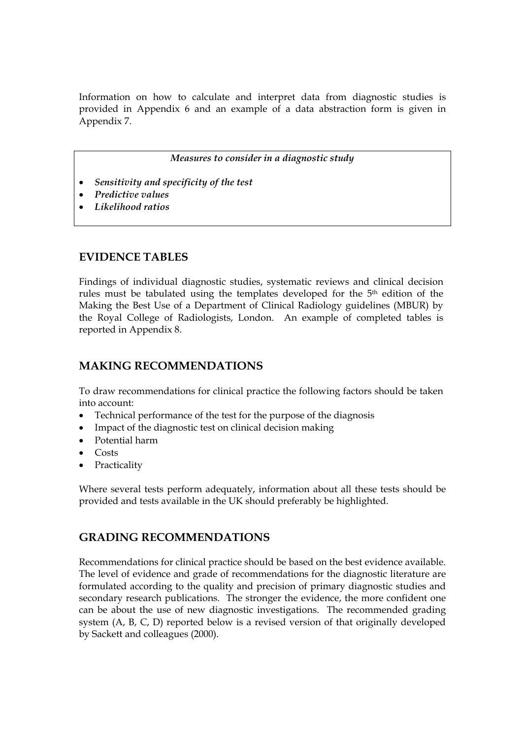Information on how to calculate and interpret data from diagnostic studies is provided in Appendix 6 and an example of a data abstraction form is given in Appendix 7.

*Measures to consider in a diagnostic study* 

- *Sensitivity and specificity of the test*
- *Predictive values*
- *Likelihood ratios*

## **EVIDENCE TABLES**

Findings of individual diagnostic studies, systematic reviews and clinical decision rules must be tabulated using the templates developed for the 5th edition of the Making the Best Use of a Department of Clinical Radiology guidelines (MBUR) by the Royal College of Radiologists, London. An example of completed tables is reported in Appendix 8.

## **MAKING RECOMMENDATIONS**

To draw recommendations for clinical practice the following factors should be taken into account:

- Technical performance of the test for the purpose of the diagnosis
- Impact of the diagnostic test on clinical decision making
- Potential harm
- Costs
- Practicality

Where several tests perform adequately, information about all these tests should be provided and tests available in the UK should preferably be highlighted.

## **GRADING RECOMMENDATIONS**

Recommendations for clinical practice should be based on the best evidence available. The level of evidence and grade of recommendations for the diagnostic literature are formulated according to the quality and precision of primary diagnostic studies and secondary research publications. The stronger the evidence, the more confident one can be about the use of new diagnostic investigations. The recommended grading system (A, B, C, D) reported below is a revised version of that originally developed by Sackett and colleagues (2000).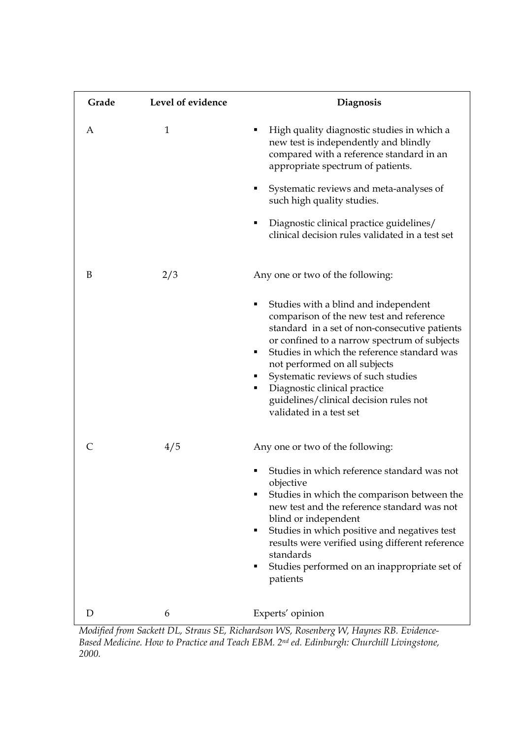| Grade | Level of evidence | Diagnosis                                                                                                                                                                                                                                                                                                                                                                                                              |
|-------|-------------------|------------------------------------------------------------------------------------------------------------------------------------------------------------------------------------------------------------------------------------------------------------------------------------------------------------------------------------------------------------------------------------------------------------------------|
| A     | 1                 | High quality diagnostic studies in which a<br>п<br>new test is independently and blindly<br>compared with a reference standard in an<br>appropriate spectrum of patients.                                                                                                                                                                                                                                              |
|       |                   | Systematic reviews and meta-analyses of<br>п<br>such high quality studies.                                                                                                                                                                                                                                                                                                                                             |
|       |                   | Diagnostic clinical practice guidelines/<br>clinical decision rules validated in a test set                                                                                                                                                                                                                                                                                                                            |
| B     | 2/3               | Any one or two of the following:                                                                                                                                                                                                                                                                                                                                                                                       |
|       |                   | Studies with a blind and independent<br>п<br>comparison of the new test and reference<br>standard in a set of non-consecutive patients<br>or confined to a narrow spectrum of subjects<br>Studies in which the reference standard was<br>٠<br>not performed on all subjects<br>Systematic reviews of such studies<br>Diagnostic clinical practice<br>guidelines/clinical decision rules not<br>validated in a test set |
|       | 4/5               | Any one or two of the following:<br>Studies in which reference standard was not<br>objective<br>Studies in which the comparison between the<br>new test and the reference standard was not<br>blind or independent<br>Studies in which positive and negatives test<br>п<br>results were verified using different reference<br>standards<br>Studies performed on an inappropriate set of<br>п<br>patients               |
| D     | 6                 | Experts' opinion                                                                                                                                                                                                                                                                                                                                                                                                       |

*Modified from Sackett DL, Straus SE, Richardson WS, Rosenberg W, Haynes RB. Evidence-Based Medicine. How to Practice and Teach EBM. 2nd ed. Edinburgh: Churchill Livingstone, 2000.*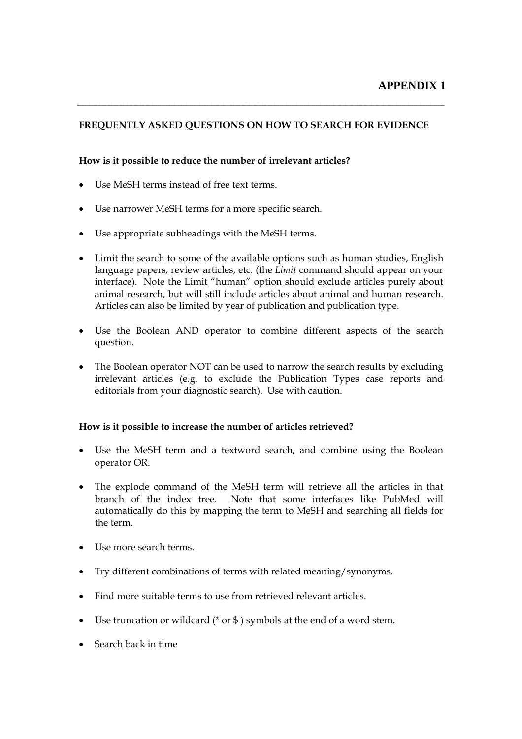## **FREQUENTLY ASKED QUESTIONS ON HOW TO SEARCH FOR EVIDENCE**

## **How is it possible to reduce the number of irrelevant articles?**

- Use MeSH terms instead of free text terms.
- Use narrower MeSH terms for a more specific search.
- Use appropriate subheadings with the MeSH terms.
- Limit the search to some of the available options such as human studies, English language papers, review articles, etc. (the *Limit* command should appear on your interface). Note the Limit "human" option should exclude articles purely about animal research, but will still include articles about animal and human research. Articles can also be limited by year of publication and publication type.
- Use the Boolean AND operator to combine different aspects of the search question.
- The Boolean operator NOT can be used to narrow the search results by excluding irrelevant articles (e.g. to exclude the Publication Types case reports and editorials from your diagnostic search). Use with caution.

## **How is it possible to increase the number of articles retrieved?**

- Use the MeSH term and a textword search, and combine using the Boolean operator OR.
- The explode command of the MeSH term will retrieve all the articles in that branch of the index tree. Note that some interfaces like PubMed will automatically do this by mapping the term to MeSH and searching all fields for the term.
- Use more search terms.
- Try different combinations of terms with related meaning/synonyms.
- Find more suitable terms to use from retrieved relevant articles.
- Use truncation or wildcard (\* or \$ ) symbols at the end of a word stem.
- Search back in time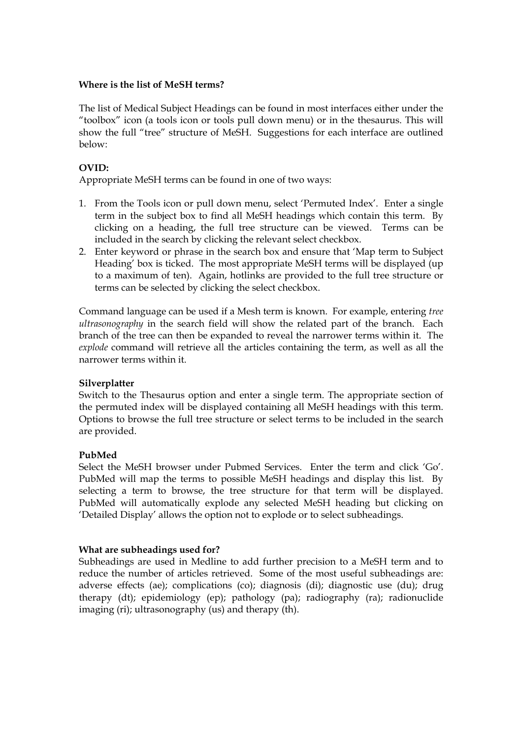#### **Where is the list of MeSH terms?**

The list of Medical Subject Headings can be found in most interfaces either under the "toolbox" icon (a tools icon or tools pull down menu) or in the thesaurus. This will show the full "tree" structure of MeSH. Suggestions for each interface are outlined below:

## **OVID:**

Appropriate MeSH terms can be found in one of two ways:

- 1. From the Tools icon or pull down menu, select 'Permuted Index'. Enter a single term in the subject box to find all MeSH headings which contain this term. By clicking on a heading, the full tree structure can be viewed. Terms can be included in the search by clicking the relevant select checkbox.
- 2. Enter keyword or phrase in the search box and ensure that 'Map term to Subject Heading' box is ticked. The most appropriate MeSH terms will be displayed (up to a maximum of ten). Again, hotlinks are provided to the full tree structure or terms can be selected by clicking the select checkbox.

Command language can be used if a Mesh term is known. For example, entering *tree ultrasonography* in the search field will show the related part of the branch. Each branch of the tree can then be expanded to reveal the narrower terms within it. The *explode* command will retrieve all the articles containing the term, as well as all the narrower terms within it.

## **Silverplatter**

Switch to the Thesaurus option and enter a single term. The appropriate section of the permuted index will be displayed containing all MeSH headings with this term. Options to browse the full tree structure or select terms to be included in the search are provided.

## **PubMed**

Select the MeSH browser under Pubmed Services. Enter the term and click 'Go'. PubMed will map the terms to possible MeSH headings and display this list. By selecting a term to browse, the tree structure for that term will be displayed. PubMed will automatically explode any selected MeSH heading but clicking on 'Detailed Display' allows the option not to explode or to select subheadings.

## **What are subheadings used for?**

Subheadings are used in Medline to add further precision to a MeSH term and to reduce the number of articles retrieved. Some of the most useful subheadings are: adverse effects (ae); complications (co); diagnosis (di); diagnostic use (du); drug therapy (dt); epidemiology (ep); pathology (pa); radiography (ra); radionuclide imaging (ri); ultrasonography (us) and therapy (th).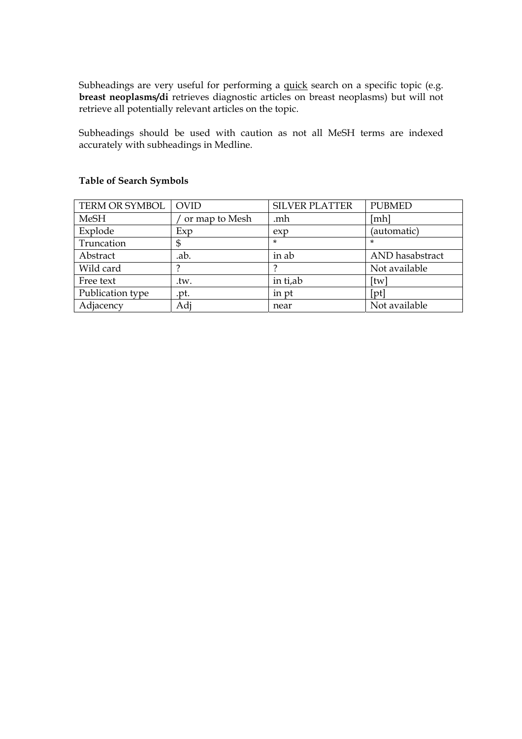Subheadings are very useful for performing a quick search on a specific topic (e.g. **breast neoplasms/di** retrieves diagnostic articles on breast neoplasms) but will not retrieve all potentially relevant articles on the topic.

Subheadings should be used with caution as not all MeSH terms are indexed accurately with subheadings in Medline.

| TERM OR SYMBOL   | <b>OVID</b>    | <b>SILVER PLATTER</b> | <b>PUBMED</b>   |
|------------------|----------------|-----------------------|-----------------|
| <b>MeSH</b>      | or map to Mesh | .mh                   | [mh]            |
| Explode          | Exp            | exp                   | (automatic)     |
| Truncation       | \$             | $\star$               | *               |
| Abstract         | .ab.           | in ab                 | AND hasabstract |
| Wild card        |                |                       | Not available   |
| Free text        | .tw.           | in ti,ab              | [tw]            |
| Publication type | .pt.           | in pt                 | [pt]            |
| Adjacency        | Adi            | near                  | Not available   |

## **Table of Search Symbols**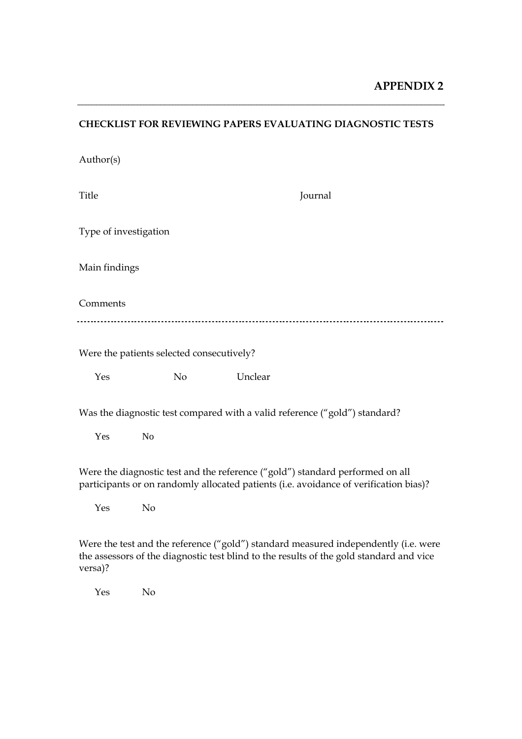## **CHECKLIST FOR REVIEWING PAPERS EVALUATING DIAGNOSTIC TESTS**

| Author(s)             |                                           |         |                                                                                                                                                                                |
|-----------------------|-------------------------------------------|---------|--------------------------------------------------------------------------------------------------------------------------------------------------------------------------------|
| Title                 |                                           |         | Journal                                                                                                                                                                        |
| Type of investigation |                                           |         |                                                                                                                                                                                |
| Main findings         |                                           |         |                                                                                                                                                                                |
| Comments              |                                           |         |                                                                                                                                                                                |
|                       | Were the patients selected consecutively? |         |                                                                                                                                                                                |
| Yes                   | No                                        | Unclear |                                                                                                                                                                                |
|                       |                                           |         | Was the diagnostic test compared with a valid reference ("gold") standard?                                                                                                     |
| Yes                   | N <sub>o</sub>                            |         |                                                                                                                                                                                |
|                       |                                           |         | Were the diagnostic test and the reference ("gold") standard performed on all<br>participants or on randomly allocated patients (i.e. avoidance of verification bias)?         |
| Yes                   | N <sub>o</sub>                            |         |                                                                                                                                                                                |
|                       |                                           |         | Were the test and the reference ("gold") standard measured independently (i.e. were<br>the assessors of the diagnostic test blind to the results of the gold standard and vice |

versa)?

Yes No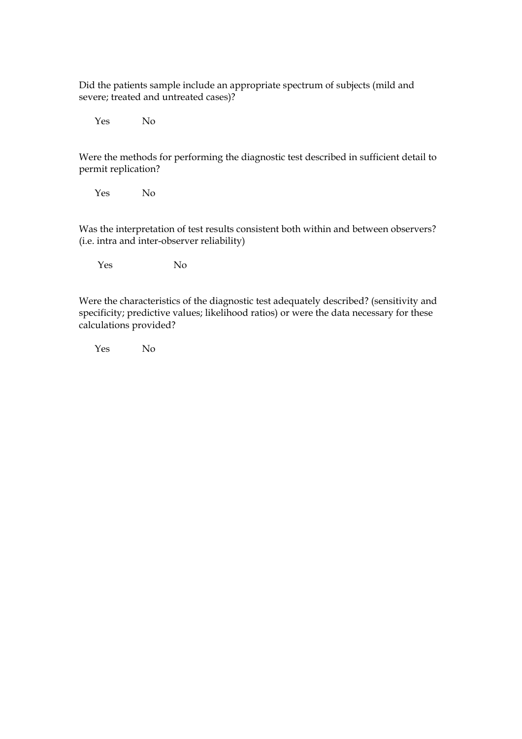Did the patients sample include an appropriate spectrum of subjects (mild and severe; treated and untreated cases)?

Yes No

Were the methods for performing the diagnostic test described in sufficient detail to permit replication?

Yes No

Was the interpretation of test results consistent both within and between observers? (i.e. intra and inter-observer reliability)

Yes No

Were the characteristics of the diagnostic test adequately described? (sensitivity and specificity; predictive values; likelihood ratios) or were the data necessary for these calculations provided?

Yes No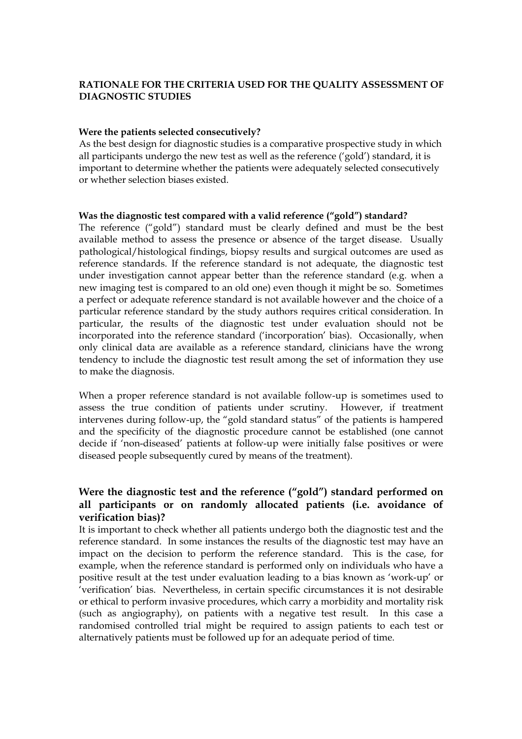## **RATIONALE FOR THE CRITERIA USED FOR THE QUALITY ASSESSMENT OF DIAGNOSTIC STUDIES**

#### **Were the patients selected consecutively?**

As the best design for diagnostic studies is a comparative prospective study in which all participants undergo the new test as well as the reference ('gold') standard, it is important to determine whether the patients were adequately selected consecutively or whether selection biases existed.

#### **Was the diagnostic test compared with a valid reference ("gold") standard?**

The reference ("gold") standard must be clearly defined and must be the best available method to assess the presence or absence of the target disease. Usually pathological/histological findings, biopsy results and surgical outcomes are used as reference standards. If the reference standard is not adequate, the diagnostic test under investigation cannot appear better than the reference standard (e.g. when a new imaging test is compared to an old one) even though it might be so. Sometimes a perfect or adequate reference standard is not available however and the choice of a particular reference standard by the study authors requires critical consideration. In particular, the results of the diagnostic test under evaluation should not be incorporated into the reference standard ('incorporation' bias). Occasionally, when only clinical data are available as a reference standard, clinicians have the wrong tendency to include the diagnostic test result among the set of information they use to make the diagnosis.

When a proper reference standard is not available follow-up is sometimes used to assess the true condition of patients under scrutiny. However, if treatment intervenes during follow-up, the "gold standard status" of the patients is hampered and the specificity of the diagnostic procedure cannot be established (one cannot decide if 'non-diseased' patients at follow-up were initially false positives or were diseased people subsequently cured by means of the treatment).

## **Were the diagnostic test and the reference ("gold") standard performed on all participants or on randomly allocated patients (i.e. avoidance of verification bias)?**

It is important to check whether all patients undergo both the diagnostic test and the reference standard. In some instances the results of the diagnostic test may have an impact on the decision to perform the reference standard. This is the case, for example, when the reference standard is performed only on individuals who have a positive result at the test under evaluation leading to a bias known as 'work-up' or 'verification' bias. Nevertheless, in certain specific circumstances it is not desirable or ethical to perform invasive procedures, which carry a morbidity and mortality risk (such as angiography), on patients with a negative test result. In this case a randomised controlled trial might be required to assign patients to each test or alternatively patients must be followed up for an adequate period of time.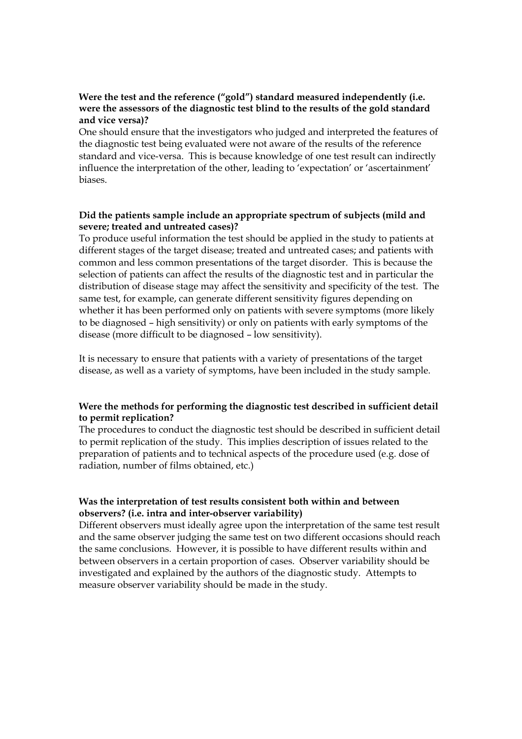## **Were the test and the reference ("gold") standard measured independently (i.e. were the assessors of the diagnostic test blind to the results of the gold standard and vice versa)?**

One should ensure that the investigators who judged and interpreted the features of the diagnostic test being evaluated were not aware of the results of the reference standard and vice-versa. This is because knowledge of one test result can indirectly influence the interpretation of the other, leading to 'expectation' or 'ascertainment' biases.

## **Did the patients sample include an appropriate spectrum of subjects (mild and severe; treated and untreated cases)?**

To produce useful information the test should be applied in the study to patients at different stages of the target disease; treated and untreated cases; and patients with common and less common presentations of the target disorder. This is because the selection of patients can affect the results of the diagnostic test and in particular the distribution of disease stage may affect the sensitivity and specificity of the test. The same test, for example, can generate different sensitivity figures depending on whether it has been performed only on patients with severe symptoms (more likely to be diagnosed – high sensitivity) or only on patients with early symptoms of the disease (more difficult to be diagnosed – low sensitivity).

It is necessary to ensure that patients with a variety of presentations of the target disease, as well as a variety of symptoms, have been included in the study sample.

## **Were the methods for performing the diagnostic test described in sufficient detail to permit replication?**

The procedures to conduct the diagnostic test should be described in sufficient detail to permit replication of the study. This implies description of issues related to the preparation of patients and to technical aspects of the procedure used (e.g. dose of radiation, number of films obtained, etc.)

## **Was the interpretation of test results consistent both within and between observers? (i.e. intra and inter-observer variability)**

Different observers must ideally agree upon the interpretation of the same test result and the same observer judging the same test on two different occasions should reach the same conclusions. However, it is possible to have different results within and between observers in a certain proportion of cases. Observer variability should be investigated and explained by the authors of the diagnostic study. Attempts to measure observer variability should be made in the study.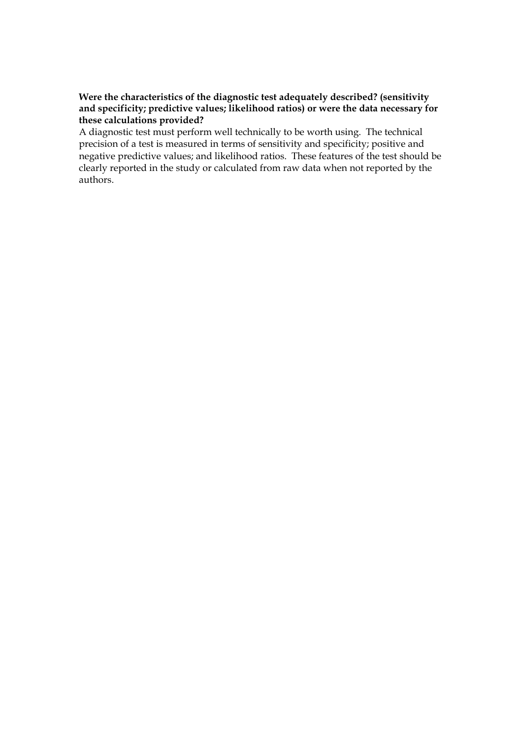## **Were the characteristics of the diagnostic test adequately described? (sensitivity and specificity; predictive values; likelihood ratios) or were the data necessary for these calculations provided?**

A diagnostic test must perform well technically to be worth using. The technical precision of a test is measured in terms of sensitivity and specificity; positive and negative predictive values; and likelihood ratios. These features of the test should be clearly reported in the study or calculated from raw data when not reported by the authors.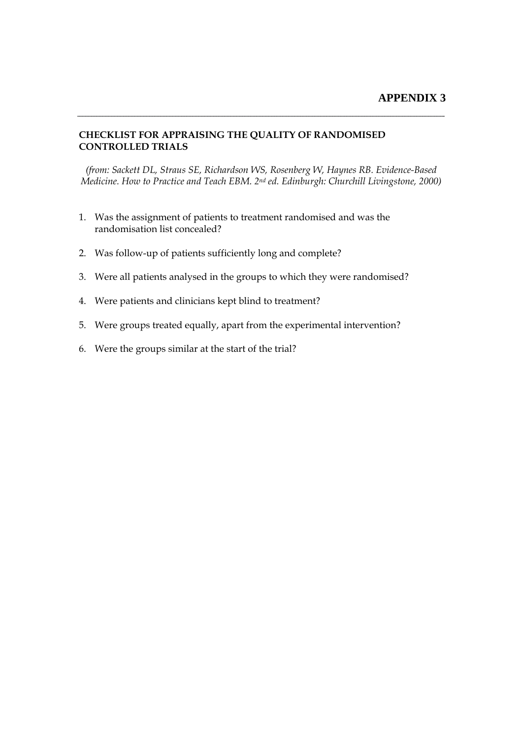#### **CHECKLIST FOR APPRAISING THE QUALITY OF RANDOMISED CONTROLLED TRIALS**

*(from: Sackett DL, Straus SE, Richardson WS, Rosenberg W, Haynes RB. Evidence-Based Medicine. How to Practice and Teach EBM. 2nd ed. Edinburgh: Churchill Livingstone, 2000)*

- 1. Was the assignment of patients to treatment randomised and was the randomisation list concealed?
- 2. Was follow-up of patients sufficiently long and complete?
- 3. Were all patients analysed in the groups to which they were randomised?
- 4. Were patients and clinicians kept blind to treatment?
- 5. Were groups treated equally, apart from the experimental intervention?
- 6. Were the groups similar at the start of the trial?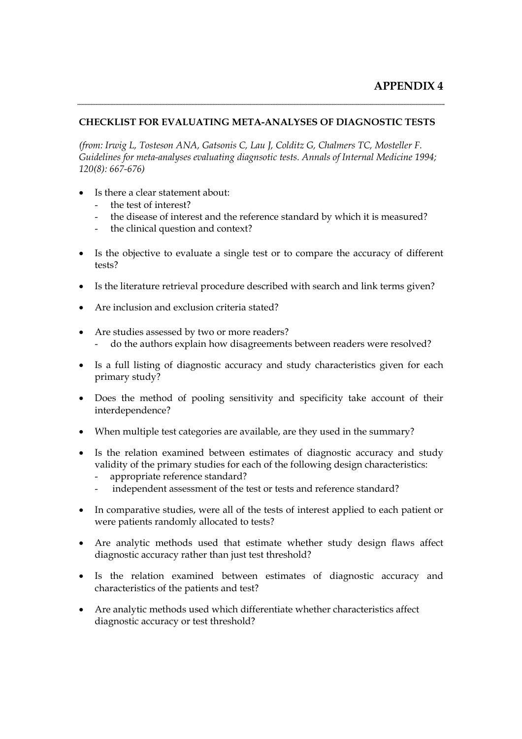## **CHECKLIST FOR EVALUATING META-ANALYSES OF DIAGNOSTIC TESTS**

*(from: Irwig L, Tosteson ANA, Gatsonis C, Lau J, Colditz G, Chalmers TC, Mosteller F. Guidelines for meta-analyses evaluating diagnsotic tests. Annals of Internal Medicine 1994; 120(8): 667-676)* 

- Is there a clear statement about:
	- the test of interest?
	- the disease of interest and the reference standard by which it is measured?
	- the clinical question and context?
- Is the objective to evaluate a single test or to compare the accuracy of different tests?
- Is the literature retrieval procedure described with search and link terms given?
- Are inclusion and exclusion criteria stated?
- Are studies assessed by two or more readers?
	- do the authors explain how disagreements between readers were resolved?
- Is a full listing of diagnostic accuracy and study characteristics given for each primary study?
- Does the method of pooling sensitivity and specificity take account of their interdependence?
- When multiple test categories are available, are they used in the summary?
- Is the relation examined between estimates of diagnostic accuracy and study validity of the primary studies for each of the following design characteristics:
	- appropriate reference standard?
	- independent assessment of the test or tests and reference standard?
- In comparative studies, were all of the tests of interest applied to each patient or were patients randomly allocated to tests?
- Are analytic methods used that estimate whether study design flaws affect diagnostic accuracy rather than just test threshold?
- Is the relation examined between estimates of diagnostic accuracy and characteristics of the patients and test?
- Are analytic methods used which differentiate whether characteristics affect diagnostic accuracy or test threshold?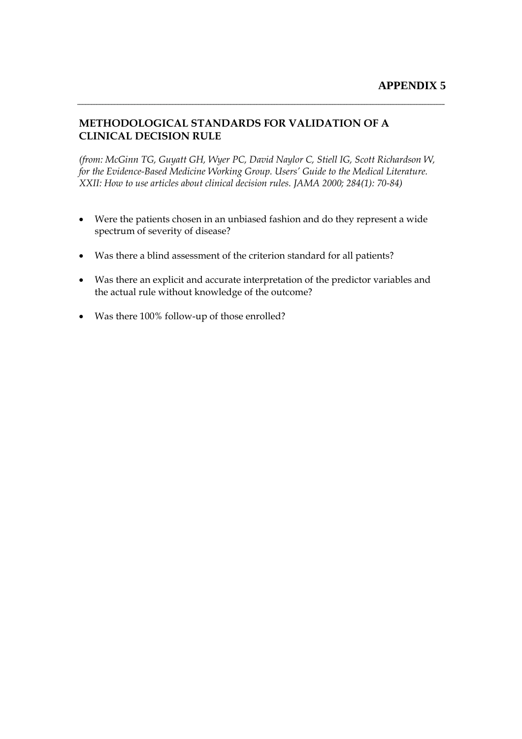## **METHODOLOGICAL STANDARDS FOR VALIDATION OF A CLINICAL DECISION RULE**

*(from: McGinn TG, Guyatt GH, Wyer PC, David Naylor C, Stiell IG, Scott Richardson W, for the Evidence-Based Medicine Working Group. Users' Guide to the Medical Literature. XXII: How to use articles about clinical decision rules. JAMA 2000; 284(1): 70-84)* 

- Were the patients chosen in an unbiased fashion and do they represent a wide spectrum of severity of disease?
- Was there a blind assessment of the criterion standard for all patients?
- Was there an explicit and accurate interpretation of the predictor variables and the actual rule without knowledge of the outcome?
- Was there 100% follow-up of those enrolled?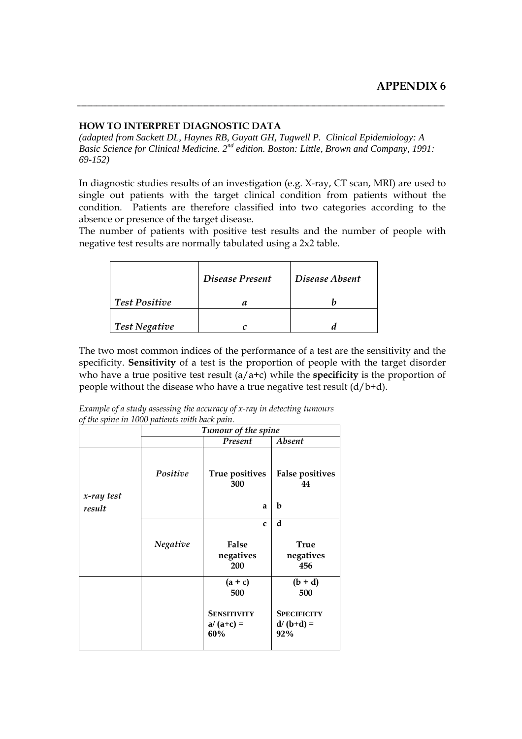#### **HOW TO INTERPRET DIAGNOSTIC DATA**

*(adapted from Sackett DL, Haynes RB, Guyatt GH, Tugwell P. Clinical Epidemiology: A Basic Science for Clinical Medicine. 2nd edition. Boston: Little, Brown and Company, 1991: 69-152)* 

In diagnostic studies results of an investigation (e.g. X-ray, CT scan, MRI) are used to single out patients with the target clinical condition from patients without the condition. Patients are therefore classified into two categories according to the absence or presence of the target disease.

The number of patients with positive test results and the number of people with negative test results are normally tabulated using a 2x2 table.

|                      | Disease Present | Disease Absent |
|----------------------|-----------------|----------------|
| <b>Test Positive</b> |                 |                |
| <b>Test Negative</b> |                 |                |

The two most common indices of the performance of a test are the sensitivity and the specificity. **Sensitivity** of a test is the proportion of people with the target disorder who have a true positive test result  $(a/a+c)$  while the **specificity** is the proportion of people without the disease who have a true negative test result  $(d/b+d)$ .

*Example of a study assessing the accuracy of x-ray in detecting tumours of the spine in 1000 patients with back pain.*

|                      | Tumour of the spine |                                          |                                          |
|----------------------|---------------------|------------------------------------------|------------------------------------------|
|                      |                     | Present                                  | Absent                                   |
|                      | Positive            | True positives<br>300                    | <b>False positives</b><br>44             |
| x-ray test<br>result |                     | a                                        | b                                        |
|                      |                     | $\mathbf c$                              | d                                        |
|                      | Negative            | <b>False</b><br>negatives<br>200         | <b>True</b><br>negatives<br>456          |
|                      |                     | $(a + c)$<br>500                         | $(b + d)$<br>500                         |
|                      |                     | <b>SENSITIVITY</b><br>$a/(a+c) =$<br>60% | <b>SPECIFICITY</b><br>$d/(b+d) =$<br>92% |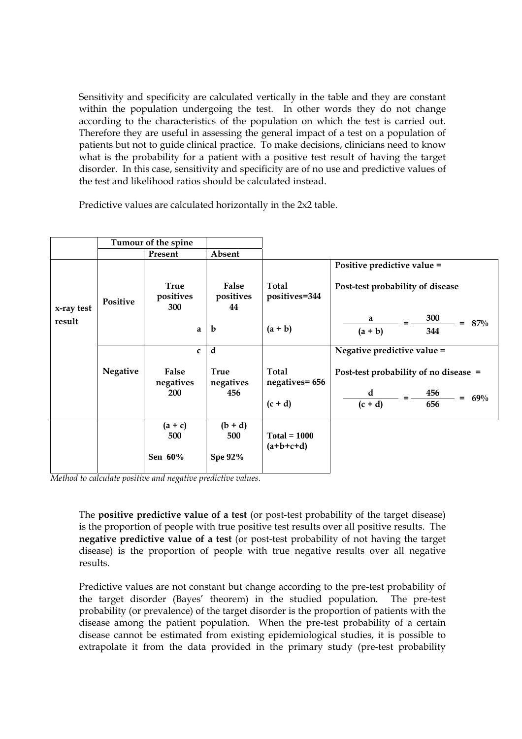Sensitivity and specificity are calculated vertically in the table and they are constant within the population undergoing the test. In other words they do not change according to the characteristics of the population on which the test is carried out. Therefore they are useful in assessing the general impact of a test on a population of patients but not to guide clinical practice. To make decisions, clinicians need to know what is the probability for a patient with a positive test result of having the target disorder. In this case, sensitivity and specificity are of no use and predictive values of the test and likelihood ratios should be calculated instead.

Predictive values are calculated horizontally in the 2x2 table.

|                      |                 | Tumour of the spine                             |                                         |                                             |                                                                                                                         |  |  |
|----------------------|-----------------|-------------------------------------------------|-----------------------------------------|---------------------------------------------|-------------------------------------------------------------------------------------------------------------------------|--|--|
|                      |                 | Present                                         | Absent                                  |                                             |                                                                                                                         |  |  |
| x-ray test<br>result | Positive        | <b>True</b><br>positives<br>300<br>a            | False<br>positives<br>44<br>$\mathbf b$ | Total<br>positives=344<br>$(a + b)$         | Positive predictive value =<br>Post-test probability of disease<br>300<br>a<br>$= 87\%$<br>$(a + b)$<br>344             |  |  |
|                      | <b>Negative</b> | $\mathbf c$<br>False<br>negatives<br><b>200</b> | d<br>True<br>negatives<br>456           | <b>Total</b><br>negatives= 656<br>$(c + d)$ | Negative predictive value =<br>Post-test probability of no disease =<br><b>456</b><br>d<br>$= 69\%$<br>$(c + d)$<br>656 |  |  |
|                      |                 | $(a + c)$<br>500<br>Sen 60%                     | $(b + d)$<br>500<br><b>Spe 92%</b>      | $Total = 1000$<br>$(a+b+c+d)$               |                                                                                                                         |  |  |

*Method to calculate positive and negative predictive values.*

The **positive predictive value of a test** (or post-test probability of the target disease) is the proportion of people with true positive test results over all positive results. The **negative predictive value of a test** (or post-test probability of not having the target disease) is the proportion of people with true negative results over all negative results.

Predictive values are not constant but change according to the pre-test probability of the target disorder (Bayes' theorem) in the studied population. The pre-test probability (or prevalence) of the target disorder is the proportion of patients with the disease among the patient population. When the pre-test probability of a certain disease cannot be estimated from existing epidemiological studies, it is possible to extrapolate it from the data provided in the primary study (pre-test probability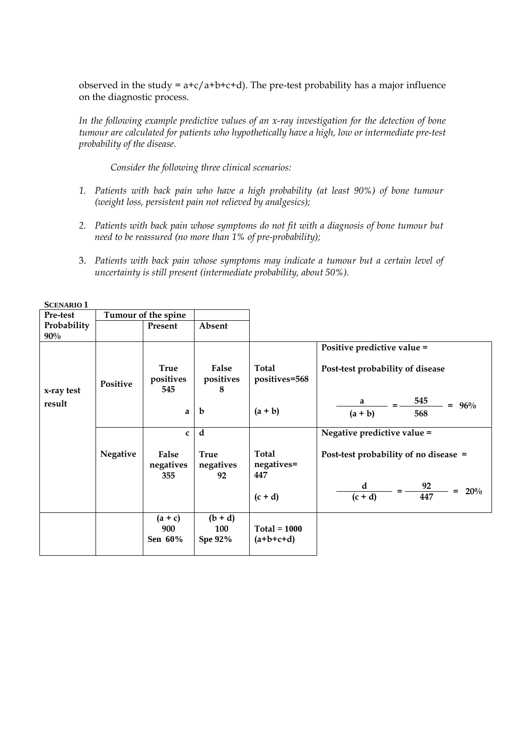observed in the study =  $a+c/a+b+c+d$ ). The pre-test probability has a major influence on the diagnostic process.

*In the following example predictive values of an x-ray investigation for the detection of bone tumour are calculated for patients who hypothetically have a high, low or intermediate pre-test probability of the disease.* 

*Consider the following three clinical scenarios:* 

- *1. Patients with back pain who have a high probability (at least 90%) of bone tumour (weight loss, persistent pain not relieved by analgesics);*
- *2. Patients with back pain whose symptoms do not fit with a diagnosis of bone tumour but need to be reassured (no more than 1% of pre-probability);*
- 3. *Patients with back pain whose symptoms may indicate a tumour but a certain level of uncertainty is still present (intermediate probability, about 50%).*

| Pre-test              |                 | Tumour of the spine                  |                                    |                                            |                                                                                                             |
|-----------------------|-----------------|--------------------------------------|------------------------------------|--------------------------------------------|-------------------------------------------------------------------------------------------------------------|
| Probability<br>$90\%$ |                 | Present                              | Absent                             |                                            |                                                                                                             |
| x-ray test<br>result  | Positive        | <b>True</b><br>positives<br>545<br>a | False<br>positives<br>8<br>b       | <b>Total</b><br>positives=568<br>$(a + b)$ | Positive predictive value =<br>Post-test probability of disease<br>545<br>a<br>$= 96\%$<br>$(a + b)$<br>568 |
|                       |                 | $\mathbf C$                          | d                                  |                                            | Negative predictive value =                                                                                 |
|                       | <b>Negative</b> | False<br>negatives<br>355            | <b>True</b><br>negatives<br>92     | Total<br>negatives=<br>447                 | Post-test probability of no disease =                                                                       |
|                       |                 |                                      |                                    | $(c + d)$                                  | $-92$<br>d<br>20%<br>$=$<br>447<br>$(c + d)$                                                                |
|                       |                 | $(a + c)$<br>900<br>Sen 60%          | $(b + d)$<br>100<br><b>Spe 92%</b> | $Total = 1000$<br>$(a+b+c+d)$              |                                                                                                             |

| <b>SCENARIO 1</b> |  |
|-------------------|--|
|-------------------|--|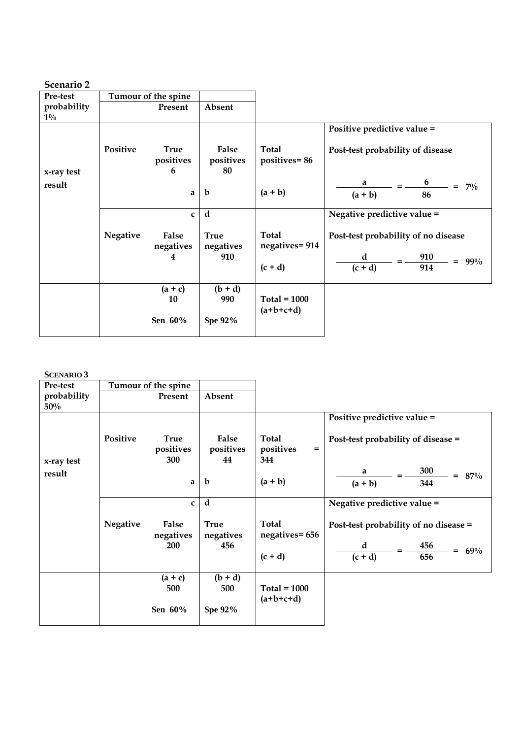| Pre-test             |                 | Tumour of the spine           |                          |                               |                                          |
|----------------------|-----------------|-------------------------------|--------------------------|-------------------------------|------------------------------------------|
| probability<br>$1\%$ |                 | Present                       | Absent                   |                               |                                          |
|                      |                 |                               |                          |                               | Positive predictive value =              |
| x-ray test           | <b>Positive</b> | <b>True</b><br>positives<br>6 | False<br>positives<br>80 | <b>Total</b><br>positives=86  | Post-test probability of disease         |
| result               |                 | a                             | b                        | $(a + b)$                     | 6<br>a<br>$= 7\%$<br>$(a + b)$<br>86     |
|                      |                 | $\mathbf{C}$                  | d                        |                               | Negative predictive value =              |
|                      | <b>Negative</b> | False<br>negatives            | <b>True</b><br>negatives | <b>Total</b><br>negatives=914 | Post-test probability of no disease      |
|                      |                 | 4                             | 910                      | $(c + d)$                     | d<br>910<br>$= 99\%$<br>$(c + d)$<br>914 |
|                      |                 | $(a + c)$<br>10               | $(b + d)$<br>990         | $Total = 1000$<br>$(a+b+c+d)$ |                                          |
|                      |                 | Sen 60%                       | <b>Spe 92%</b>           |                               |                                          |

**SCENARIO 3** 

| Pre-test           |                 | Tumour of the spine             |                          |                                         |                                       |
|--------------------|-----------------|---------------------------------|--------------------------|-----------------------------------------|---------------------------------------|
| probability<br>50% |                 | Present                         | Absent                   |                                         |                                       |
|                    |                 |                                 |                          |                                         | Positive predictive value =           |
| x-ray test         | Positive        | <b>True</b><br>positives<br>300 | False<br>positives<br>44 | <b>Total</b><br>positives<br>$=$<br>344 | Post-test probability of disease =    |
| result             |                 |                                 |                          |                                         | 300<br>a<br>$= 87\%$                  |
|                    |                 | a                               | b                        | $(a + b)$                               | $(a + b)$<br>344                      |
|                    |                 | $\mathbf{C}$                    | d                        |                                         | Negative predictive value =           |
|                    | <b>Negative</b> | False<br>negatives              | <b>True</b><br>negatives | <b>Total</b><br>negatives= 656          | Post-test probability of no disease = |
|                    |                 | <b>200</b>                      | 456                      |                                         | 456<br>d<br>$= 69\%$                  |
|                    |                 |                                 |                          | $(c + d)$                               | $(c + d)$<br>656                      |
|                    |                 | $(a + c)$                       | $(b + d)$                |                                         |                                       |
|                    |                 | 500                             | 500                      | $Total = 1000$                          |                                       |
|                    |                 | Sen 60%                         | <b>Spe 92%</b>           | $(a+b+c+d)$                             |                                       |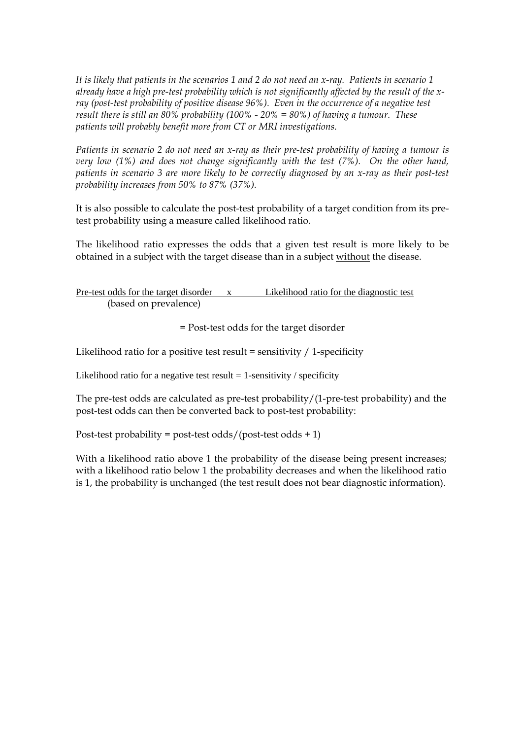*It is likely that patients in the scenarios 1 and 2 do not need an x-ray. Patients in scenario 1 already have a high pre-test probability which is not significantly affected by the result of the xray (post-test probability of positive disease 96%). Even in the occurrence of a negative test result there is still an 80% probability (100% - 20% = 80%) of having a tumour. These patients will probably benefit more from CT or MRI investigations.* 

*Patients in scenario 2 do not need an x-ray as their pre-test probability of having a tumour is very low (1%) and does not change significantly with the test (7%). On the other hand, patients in scenario 3 are more likely to be correctly diagnosed by an x-ray as their post-test probability increases from 50% to 87% (37%).*

It is also possible to calculate the post-test probability of a target condition from its pretest probability using a measure called likelihood ratio.

The likelihood ratio expresses the odds that a given test result is more likely to be obtained in a subject with the target disease than in a subject without the disease.

Pre-test odds for the target disorder x Likelihood ratio for the diagnostic test (based on prevalence)

= Post-test odds for the target disorder

Likelihood ratio for a positive test result = sensitivity  $/ 1$ -specificity

Likelihood ratio for a negative test result  $= 1$ -sensitivity / specificity

The pre-test odds are calculated as pre-test probability/(1-pre-test probability) and the post-test odds can then be converted back to post-test probability:

Post-test probability = post-test odds/(post-test odds + 1)

With a likelihood ratio above 1 the probability of the disease being present increases; with a likelihood ratio below 1 the probability decreases and when the likelihood ratio is 1, the probability is unchanged (the test result does not bear diagnostic information).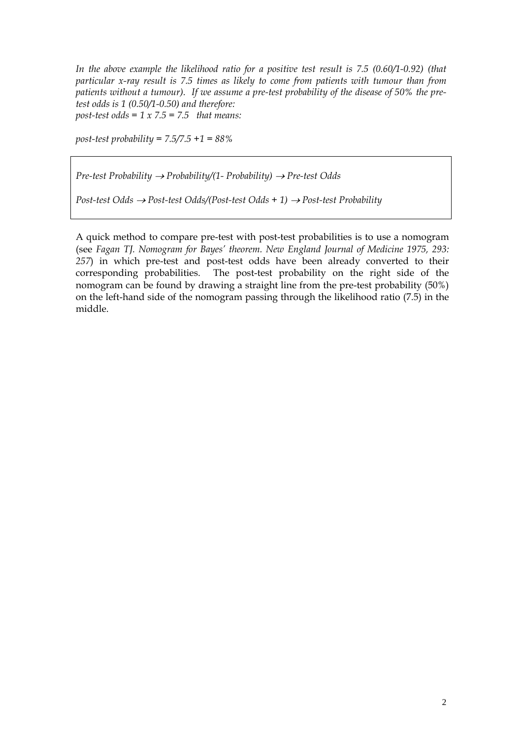*In the above example the likelihood ratio for a positive test result is 7.5 (0.60/1-0.92) (that particular x-ray result is 7.5 times as likely to come from patients with tumour than from patients without a tumour). If we assume a pre-test probability of the disease of 50% the pretest odds is 1 (0.50/1-0.50) and therefore: post-test odds = 1 x 7.5 = 7.5 that means:* 

*post-test probability = 7.5/7.5 +1 = 88%* 

*Pre-test Probability* → *Probability/(1- Probability)* → *Pre-test Odds* 

*Post-test Odds* → *Post-test Odds/(Post-test Odds + 1)* → *Post-test Probability*

A quick method to compare pre-test with post-test probabilities is to use a nomogram (see *Fagan TJ. Nomogram for Bayes' theorem. New England Journal of Medicine 1975, 293: 257*) in which pre-test and post-test odds have been already converted to their corresponding probabilities. The post-test probability on the right side of the nomogram can be found by drawing a straight line from the pre-test probability (50%) on the left-hand side of the nomogram passing through the likelihood ratio (7.5) in the middle.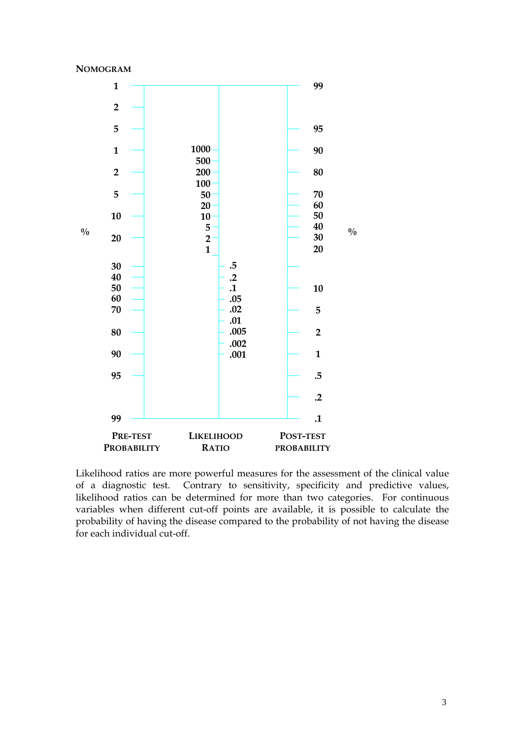



Likelihood ratios are more powerful measures for the assessment of the clinical value of a diagnostic test. Contrary to sensitivity, specificity and predictive values, likelihood ratios can be determined for more than two categories. For continuous variables when different cut-off points are available, it is possible to calculate the probability of having the disease compared to the probability of not having the disease for each individual cut-off.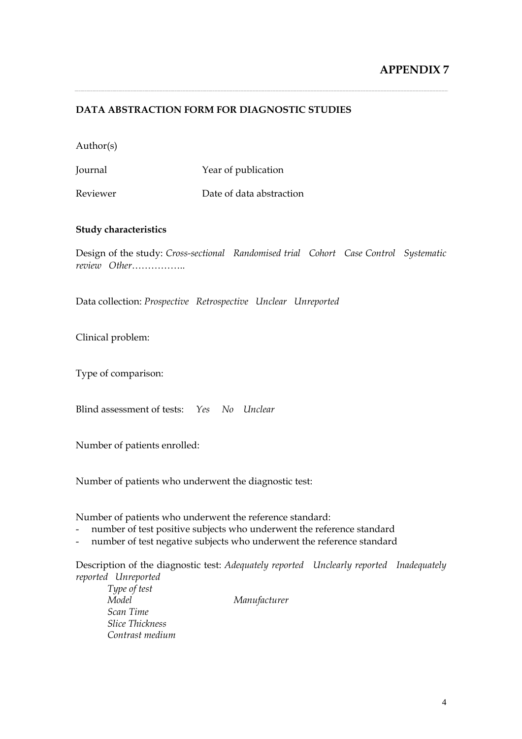## **DATA ABSTRACTION FORM FOR DIAGNOSTIC STUDIES**

Author(s)

Journal Year of publication

Reviewer Date of data abstraction

#### **Study characteristics**

Design of the study: *Cross-sectional Randomised trial Cohort Case Control Systematic review Other*……………..

Data collection: *Prospective Retrospective Unclear Unreported*

Clinical problem:

Type of comparison:

Blind assessment of tests: *Yes No Unclear*

Number of patients enrolled:

Number of patients who underwent the diagnostic test:

Number of patients who underwent the reference standard:

- number of test positive subjects who underwent the reference standard
- number of test negative subjects who underwent the reference standard

Description of the diagnostic test: *Adequately reported Unclearly reported Inadequately reported Unreported* 

*Type of test Model Manufacturer Scan Time Slice Thickness Contrast medium*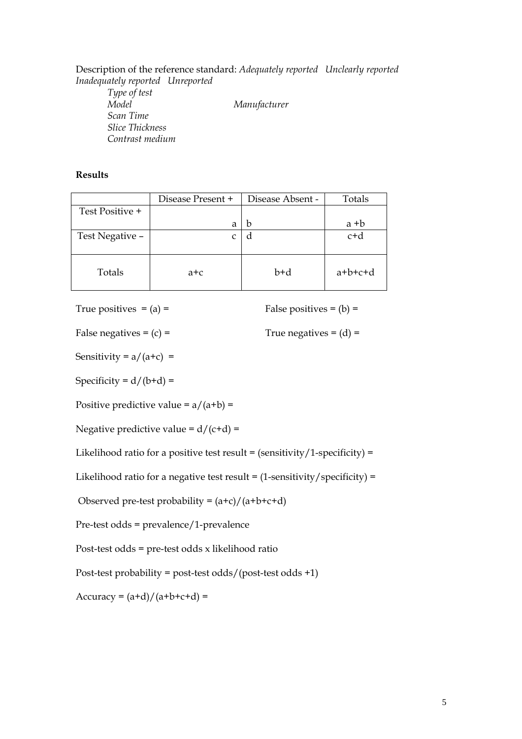Description of the reference standard: *Adequately reported Unclearly reported Inadequately reported Unreported Type of test Model Manufacturer Scan Time Slice Thickness Contrast medium* 

#### **Results**

|                 | Disease Present + | Disease Absent - | Totals    |
|-----------------|-------------------|------------------|-----------|
| Test Positive + |                   |                  |           |
|                 | a                 | h                | $a + b$   |
| Test Negative - |                   |                  | $c+d$     |
| Totals          | a+c               | b+d              | $a+b+c+d$ |

True positives  $= (a) =$  False positives  $= (b) =$ 

False negatives =  $(c)$  = True negatives =  $(d)$  =

Sensitivity =  $a/(a+c)$  =

Specificity =  $d/(b+d)$  =

Positive predictive value =  $a/(a+b)$  =

Negative predictive value =  $d/(c+d)$  =

Likelihood ratio for a positive test result =  $(sensitivity/1-specificity) =$ 

Likelihood ratio for a negative test result =  $(1$ -sensitivity/specificity) =

Observed pre-test probability =  $(a+c)/(a+b+c+d)$ 

Pre-test odds = prevalence/1-prevalence

Post-test odds = pre-test odds x likelihood ratio

Post-test probability = post-test odds/(post-test odds +1)

 $Accuracy = (a+d)/(a+b+c+d) =$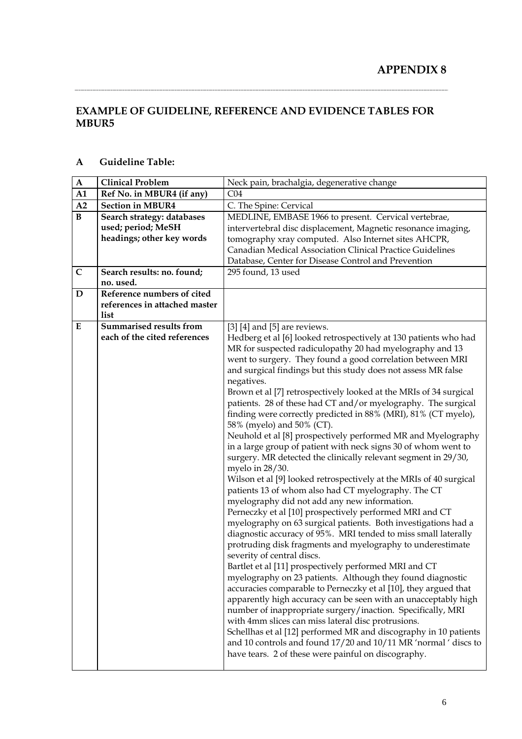# **EXAMPLE OF GUIDELINE, REFERENCE AND EVIDENCE TABLES FOR MBUR5**

| $\mathbf A$ | <b>Clinical Problem</b>        | Neck pain, brachalgia, degenerative change                                                                                         |
|-------------|--------------------------------|------------------------------------------------------------------------------------------------------------------------------------|
| A1          | Ref No. in MBUR4 (if any)      | CO <sub>4</sub>                                                                                                                    |
| A2          | <b>Section in MBUR4</b>        | C. The Spine: Cervical                                                                                                             |
| $\bf{B}$    | Search strategy: databases     | MEDLINE, EMBASE 1966 to present. Cervical vertebrae,                                                                               |
|             | used; period; MeSH             | intervertebral disc displacement, Magnetic resonance imaging,                                                                      |
|             | headings; other key words      | tomography xray computed. Also Internet sites AHCPR,                                                                               |
|             |                                | Canadian Medical Association Clinical Practice Guidelines                                                                          |
|             |                                | Database, Center for Disease Control and Prevention                                                                                |
| $\mathbf C$ | Search results: no. found;     | 295 found, 13 used                                                                                                                 |
|             | no. used.                      |                                                                                                                                    |
| $\mathbf D$ | Reference numbers of cited     |                                                                                                                                    |
|             | references in attached master  |                                                                                                                                    |
|             | list                           |                                                                                                                                    |
| ${\bf E}$   | <b>Summarised results from</b> | $[3]$ [4] and [5] are reviews.                                                                                                     |
|             | each of the cited references   | Hedberg et al [6] looked retrospectively at 130 patients who had                                                                   |
|             |                                | MR for suspected radiculopathy 20 had myelography and 13                                                                           |
|             |                                | went to surgery. They found a good correlation between MRI                                                                         |
|             |                                | and surgical findings but this study does not assess MR false                                                                      |
|             |                                | negatives.                                                                                                                         |
|             |                                | Brown et al [7] retrospectively looked at the MRIs of 34 surgical<br>patients. 28 of these had CT and/or myelography. The surgical |
|             |                                | finding were correctly predicted in 88% (MRI), 81% (CT myelo),                                                                     |
|             |                                | 58% (myelo) and 50% (CT).                                                                                                          |
|             |                                | Neuhold et al [8] prospectively performed MR and Myelography                                                                       |
|             |                                | in a large group of patient with neck signs 30 of whom went to                                                                     |
|             |                                | surgery. MR detected the clinically relevant segment in 29/30,                                                                     |
|             |                                | myelo in 28/30.                                                                                                                    |
|             |                                | Wilson et al [9] looked retrospectively at the MRIs of 40 surgical                                                                 |
|             |                                | patients 13 of whom also had CT myelography. The CT                                                                                |
|             |                                | myelography did not add any new information.                                                                                       |
|             |                                | Perneczky et al [10] prospectively performed MRI and CT                                                                            |
|             |                                | myelography on 63 surgical patients. Both investigations had a                                                                     |
|             |                                | diagnostic accuracy of 95%. MRI tended to miss small laterally                                                                     |
|             |                                | protruding disk fragments and myelography to underestimate                                                                         |
|             |                                | severity of central discs.                                                                                                         |
|             |                                | Bartlet et al [11] prospectively performed MRI and CT                                                                              |
|             |                                | myelography on 23 patients. Although they found diagnostic                                                                         |
|             |                                | accuracies comparable to Perneczky et al [10], they argued that                                                                    |
|             |                                | apparently high accuracy can be seen with an unacceptably high                                                                     |
|             |                                | number of inappropriate surgery/inaction. Specifically, MRI                                                                        |
|             |                                | with 4mm slices can miss lateral disc protrusions.                                                                                 |
|             |                                | Schellhas et al [12] performed MR and discography in 10 patients                                                                   |
|             |                                | and 10 controls and found 17/20 and 10/11 MR 'normal ' discs to<br>have tears. 2 of these were painful on discography.             |
|             |                                |                                                                                                                                    |
|             |                                |                                                                                                                                    |

## **A Guideline Table:**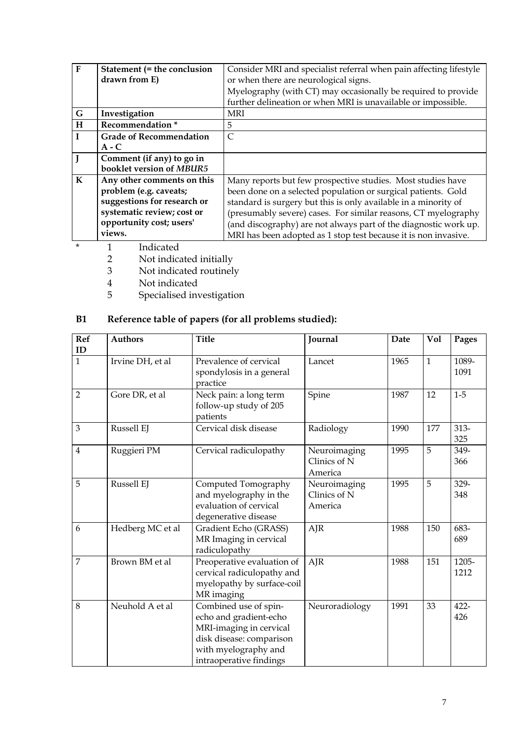| $\mathbf{F}$ | Statement (= the conclusion    | Consider MRI and specialist referral when pain affecting lifestyle |
|--------------|--------------------------------|--------------------------------------------------------------------|
|              | drawn from E)                  | or when there are neurological signs.                              |
|              |                                | Myelography (with CT) may occasionally be required to provide      |
|              |                                | further delineation or when MRI is unavailable or impossible.      |
| G            | Investigation                  | <b>MRI</b>                                                         |
| H            | Recommendation <sup>*</sup>    | 5                                                                  |
| $\mathbf{I}$ | <b>Grade of Recommendation</b> | $\subset$                                                          |
|              | $A - C$                        |                                                                    |
|              | Comment (if any) to go in      |                                                                    |
|              | booklet version of MBUR5       |                                                                    |
| $\mathbf K$  | Any other comments on this     | Many reports but few prospective studies. Most studies have        |
|              | problem (e.g. caveats;         | been done on a selected population or surgical patients. Gold      |
|              | suggestions for research or    | standard is surgery but this is only available in a minority of    |
|              | systematic review; cost or     | (presumably severe) cases. For similar reasons, CT myelography     |
|              | opportunity cost; users'       | (and discography) are not always part of the diagnostic work up.   |
|              | views.                         | MRI has been adopted as 1 stop test because it is non invasive.    |

- \* 1 Indicated<br>2 Not indicated
	- 2 Not indicated initially
	- 3 Not indicated routinely
	- 4 Not indicated<br>5 Specialised in
	- 5 Specialised investigation

# **B1 Reference table of papers (for all problems studied):**

| <b>Ref</b>         | <b>Authors</b>   | <b>Title</b>                                                                                                                                              | Journal                                 | Date | <b>Vol</b>   | Pages         |
|--------------------|------------------|-----------------------------------------------------------------------------------------------------------------------------------------------------------|-----------------------------------------|------|--------------|---------------|
| ID<br>$\mathbf{1}$ | Irvine DH, et al | Prevalence of cervical                                                                                                                                    | Lancet                                  | 1965 | $\mathbf{1}$ | 1089-         |
|                    |                  | spondylosis in a general<br>practice                                                                                                                      |                                         |      |              | 1091          |
| $\overline{2}$     | Gore DR, et al   | Neck pain: a long term<br>follow-up study of 205<br>patients                                                                                              | Spine                                   | 1987 | 12           | $1-5$         |
| 3                  | Russell EJ       | Cervical disk disease                                                                                                                                     | Radiology                               | 1990 | 177          | $313-$<br>325 |
| $\overline{4}$     | Ruggieri PM      | Cervical radiculopathy                                                                                                                                    | Neuroimaging<br>Clinics of N<br>America | 1995 | 5            | 349-<br>366   |
| 5                  | Russell EJ       | Computed Tomography<br>and myelography in the<br>evaluation of cervical<br>degenerative disease                                                           | Neuroimaging<br>Clinics of N<br>America | 1995 | 5            | 329-<br>348   |
| 6                  | Hedberg MC et al | Gradient Echo (GRASS)<br>MR Imaging in cervical<br>radiculopathy                                                                                          | AJR                                     | 1988 | 150          | 683-<br>689   |
| $\overline{7}$     | Brown BM et al   | Preoperative evaluation of<br>cervical radiculopathy and<br>myelopathy by surface-coil<br>MR imaging                                                      | AJR                                     | 1988 | 151          | 1205-<br>1212 |
| 8                  | Neuhold A et al  | Combined use of spin-<br>echo and gradient-echo<br>MRI-imaging in cervical<br>disk disease: comparison<br>with myelography and<br>intraoperative findings | Neuroradiology                          | 1991 | 33           | 422-<br>426   |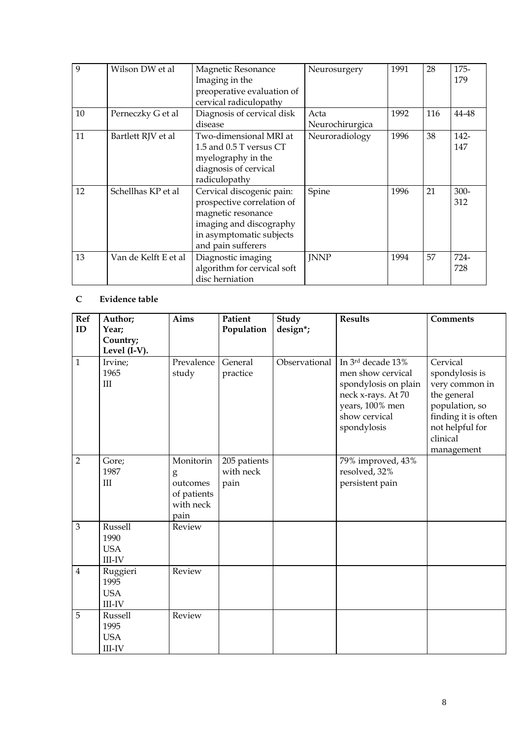| 9  | Wilson DW et al      | Magnetic Resonance<br>Imaging in the<br>preoperative evaluation of<br>cervical radiculopathy                                                               | Neurosurgery            | 1991 | 28  | 175-<br>179    |
|----|----------------------|------------------------------------------------------------------------------------------------------------------------------------------------------------|-------------------------|------|-----|----------------|
| 10 | Perneczky G et al    | Diagnosis of cervical disk<br>disease                                                                                                                      | Acta<br>Neurochirurgica | 1992 | 116 | 44-48          |
| 11 | Bartlett RJV et al   | Two-dimensional MRI at<br>1.5 and 0.5 T versus CT<br>myelography in the<br>diagnosis of cervical<br>radiculopathy                                          | Neuroradiology          | 1996 | 38  | 142-<br>147    |
| 12 | Schellhas KP et al   | Cervical discogenic pain:<br>prospective correlation of<br>magnetic resonance<br>imaging and discography<br>in asymptomatic subjects<br>and pain sufferers | Spine                   | 1996 | 21  | $300 -$<br>312 |
| 13 | Van de Kelft E et al | Diagnostic imaging<br>algorithm for cervical soft<br>disc herniation                                                                                       | <b>JNNP</b>             | 1994 | 57  | 724-<br>728    |

## **C Evidence table**

| <b>Ref</b><br>ID | Author;<br>Year;<br>Country;<br>Level $(I-V)$ . | Aims                                                           | Patient<br>Population             | <b>Study</b><br>design*; | <b>Results</b>                                                                                                                          | <b>Comments</b>                                                                                                                                   |
|------------------|-------------------------------------------------|----------------------------------------------------------------|-----------------------------------|--------------------------|-----------------------------------------------------------------------------------------------------------------------------------------|---------------------------------------------------------------------------------------------------------------------------------------------------|
| $\mathbf{1}$     | Irvine;<br>1965<br>III                          | Prevalence<br>study                                            | General<br>practice               | Observational            | In 3rd decade 13%<br>men show cervical<br>spondylosis on plain<br>neck x-rays. At 70<br>years, 100% men<br>show cervical<br>spondylosis | Cervical<br>spondylosis is<br>very common in<br>the general<br>population, so<br>finding it is often<br>not helpful for<br>clinical<br>management |
| $\overline{2}$   | Gore;<br>1987<br>III                            | Monitorin<br>g<br>outcomes<br>of patients<br>with neck<br>pain | 205 patients<br>with neck<br>pain |                          | 79% improved, 43%<br>resolved, 32%<br>persistent pain                                                                                   |                                                                                                                                                   |
| 3                | Russell<br>1990<br><b>USA</b><br>III-IV         | Review                                                         |                                   |                          |                                                                                                                                         |                                                                                                                                                   |
| $\overline{4}$   | Ruggieri<br>1995<br><b>USA</b><br><b>III-IV</b> | Review                                                         |                                   |                          |                                                                                                                                         |                                                                                                                                                   |
| 5                | Russell<br>1995<br><b>USA</b><br><b>III-IV</b>  | Review                                                         |                                   |                          |                                                                                                                                         |                                                                                                                                                   |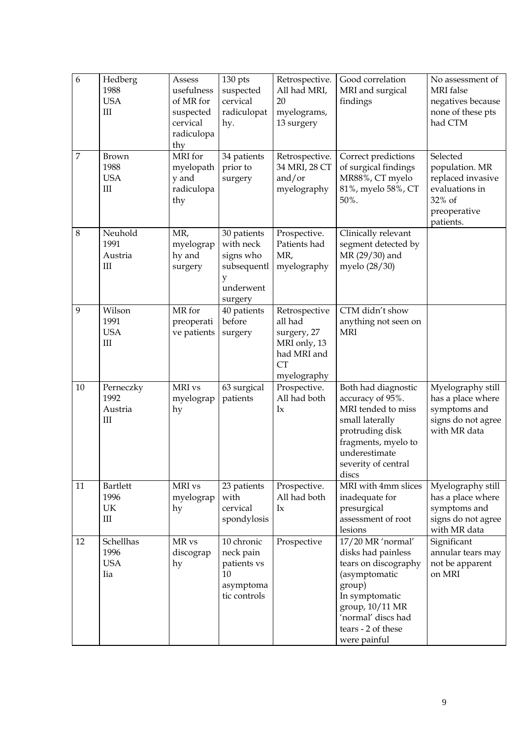| $\overline{6}$<br>7 | Hedberg<br>1988<br><b>USA</b><br>$\mathop{\rm III}\nolimits$<br><b>Brown</b><br>1988<br><b>USA</b><br>$\mathop{\rm III}\nolimits$ | Assess<br>usefulness<br>of MR for<br>suspected<br>cervical<br>radiculopa<br>thy<br>MRI for<br>myelopath<br>y and<br>radiculopa<br>thy | 130 pts<br>suspected<br>cervical<br>radiculopat<br>hy.<br>34 patients<br>prior to<br>surgery | Retrospective.<br>All had MRI,<br>20<br>myelograms,<br>13 surgery<br>Retrospective.<br>34 MRI, 28 CT<br>and/or<br>myelography | Good correlation<br>MRI and surgical<br>findings<br>Correct predictions<br>of surgical findings<br>MR88%, CT myelo<br>81%, myelo 58%, CT<br>50%.                                            | No assessment of<br><b>MRI</b> false<br>negatives because<br>none of these pts<br>had CTM<br>Selected<br>population. MR<br>replaced invasive<br>evaluations in<br>32% of<br>preoperative |
|---------------------|-----------------------------------------------------------------------------------------------------------------------------------|---------------------------------------------------------------------------------------------------------------------------------------|----------------------------------------------------------------------------------------------|-------------------------------------------------------------------------------------------------------------------------------|---------------------------------------------------------------------------------------------------------------------------------------------------------------------------------------------|------------------------------------------------------------------------------------------------------------------------------------------------------------------------------------------|
| 8                   | Neuhold<br>1991<br>Austria<br>$\mathop{\rm III}\nolimits$                                                                         | MR,<br>myelograp<br>hy and<br>surgery                                                                                                 | 30 patients<br>with neck<br>signs who<br>subsequentl<br>y<br>underwent<br>surgery            | Prospective.<br>Patients had<br>MR,<br>myelography                                                                            | Clinically relevant<br>segment detected by<br>MR (29/30) and<br>myelo (28/30)                                                                                                               | patients.                                                                                                                                                                                |
| 9                   | Wilson<br>1991<br><b>USA</b><br>$\mathop{\rm III}\nolimits$                                                                       | MR for<br>preoperati<br>ve patients                                                                                                   | 40 patients<br>before<br>surgery                                                             | Retrospective<br>all had<br>surgery, 27<br>MRI only, 13<br>had MRI and<br><b>CT</b><br>myelography                            | CTM didn't show<br>anything not seen on<br><b>MRI</b>                                                                                                                                       |                                                                                                                                                                                          |
| 10                  | Perneczky<br>1992<br>Austria<br>Ш                                                                                                 | MRI vs<br>myelograp<br>hy                                                                                                             | 63 surgical<br>patients                                                                      | Prospective.<br>All had both<br>$I_{\rm X}$                                                                                   | Both had diagnostic<br>accuracy of 95%.<br>MRI tended to miss<br>small laterally<br>protruding disk<br>fragments, myelo to<br>underestimate<br>severity of central<br>discs                 | Myelography still<br>has a place where<br>symptoms and<br>signs do not agree<br>with MR data                                                                                             |
| 11                  | <b>Bartlett</b><br>1996<br>UK<br>$\mathop{\rm III}$                                                                               | MRI vs<br>myelograp<br>hy                                                                                                             | 23 patients<br>with<br>cervical<br>spondylosis                                               | Prospective.<br>All had both<br>$I_{\rm X}$                                                                                   | MRI with 4mm slices<br>inadequate for<br>presurgical<br>assessment of root<br>lesions                                                                                                       | Myelography still<br>has a place where<br>symptoms and<br>signs do not agree<br>with MR data                                                                                             |
| 12                  | Schellhas<br>1996<br><b>USA</b><br>Iia                                                                                            | MR vs<br>discograp<br>hy                                                                                                              | 10 chronic<br>neck pain<br>patients vs<br>10<br>asymptoma<br>tic controls                    | Prospective                                                                                                                   | 17/20 MR 'normal'<br>disks had painless<br>tears on discography<br>(asymptomatic<br>group)<br>In symptomatic<br>group, 10/11 MR<br>'normal' discs had<br>tears - 2 of these<br>were painful | Significant<br>annular tears may<br>not be apparent<br>on MRI                                                                                                                            |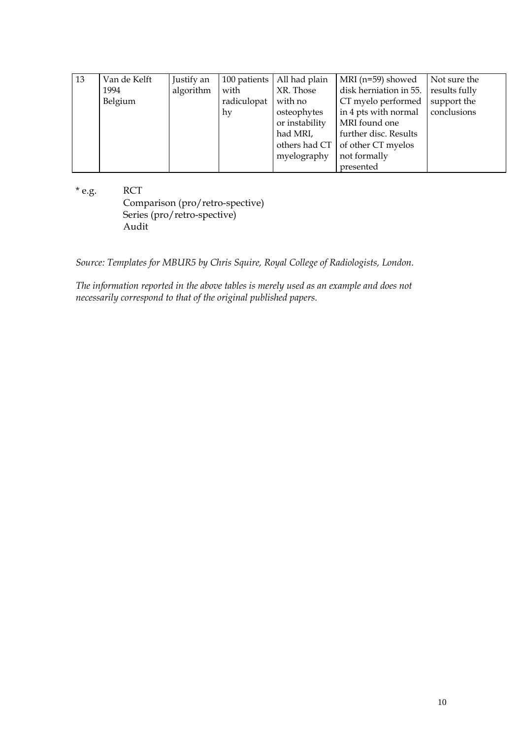| 13 | Van de Kelft | Justify an |             | 100 patients   All had plain | $\vert$ MRI (n=59) showed $\vert$ Not sure the |             |
|----|--------------|------------|-------------|------------------------------|------------------------------------------------|-------------|
|    | 1994         | algorithm  | with        | XR. Those                    | disk herniation in 55.   results fully         |             |
|    | Belgium      |            | radiculopat | with no                      | CT myelo performed                             | support the |
|    |              |            | hy          | osteophytes                  | $\int$ in 4 pts with normal $\int$ conclusions |             |
|    |              |            |             | or instability               | MRI found one                                  |             |
|    |              |            |             | had MRI,                     | further disc. Results                          |             |
|    |              |            |             |                              | others had $CT$ of other $CT$ myelos           |             |
|    |              |            |             | myelography                  | not formally                                   |             |
|    |              |            |             |                              | presented                                      |             |

\* e.g. RCT Comparison (pro/retro-spective) Series (pro/retro-spective) Audit

*Source: Templates for MBUR5 by Chris Squire, Royal College of Radiologists, London.* 

*The information reported in the above tables is merely used as an example and does not necessarily correspond to that of the original published papers.*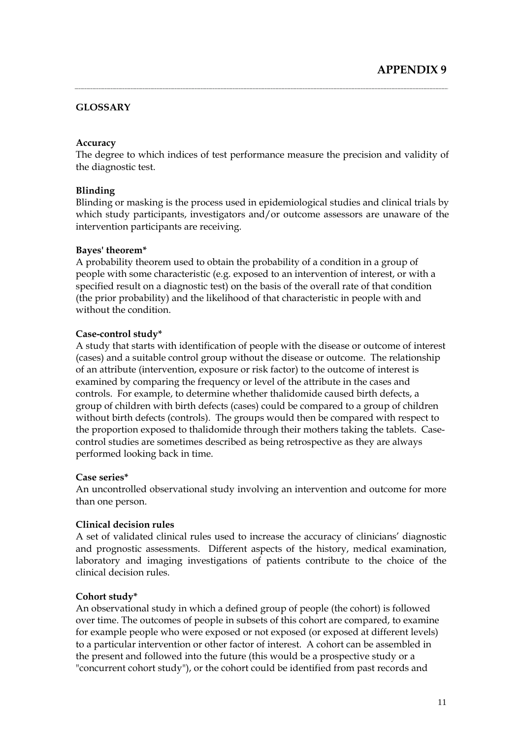## **GLOSSARY**

#### **Accuracy**

The degree to which indices of test performance measure the precision and validity of the diagnostic test.

## **Blinding**

Blinding or masking is the process used in epidemiological studies and clinical trials by which study participants, investigators and/or outcome assessors are unaware of the intervention participants are receiving.

#### **Bayes' theorem\***

A probability theorem used to obtain the probability of a condition in a group of people with some characteristic (e.g. exposed to an intervention of interest, or with a specified result on a diagnostic test) on the basis of the overall rate of that condition (the prior probability) and the likelihood of that characteristic in people with and without the condition.

#### **Case-control study\***

A study that starts with identification of people with the disease or outcome of interest (cases) and a suitable control group without the disease or outcome. The relationship of an attribute (intervention, exposure or risk factor) to the outcome of interest is examined by comparing the frequency or level of the attribute in the cases and controls. For example, to determine whether thalidomide caused birth defects, a group of children with birth defects (cases) could be compared to a group of children without birth defects (controls). The groups would then be compared with respect to the proportion exposed to thalidomide through their mothers taking the tablets. Casecontrol studies are sometimes described as being retrospective as they are always performed looking back in time.

#### **Case series\***

An uncontrolled observational study involving an intervention and outcome for more than one person.

## **Clinical decision rules**

A set of validated clinical rules used to increase the accuracy of clinicians' diagnostic and prognostic assessments. Different aspects of the history, medical examination, laboratory and imaging investigations of patients contribute to the choice of the clinical decision rules.

## **Cohort study\***

An observational study in which a defined group of people (the cohort) is followed over time. The outcomes of people in subsets of this cohort are compared, to examine for example people who were exposed or not exposed (or exposed at different levels) to a particular intervention or other factor of interest. A cohort can be assembled in the present and followed into the future (this would be a prospective study or a "concurrent cohort study"), or the cohort could be identified from past records and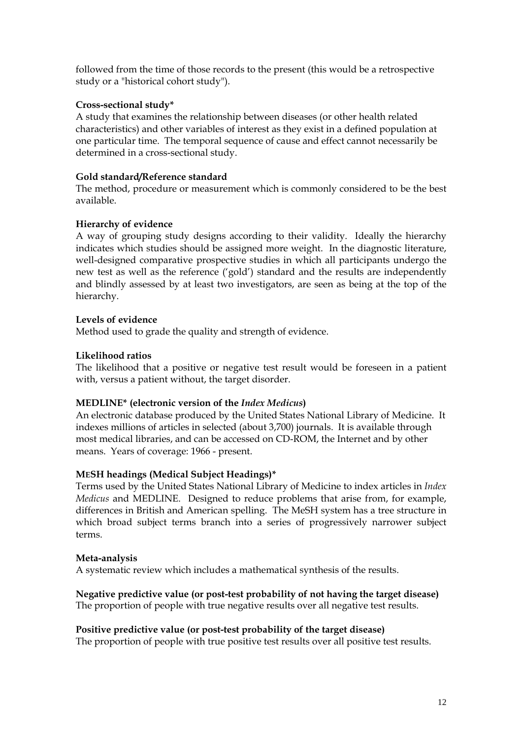followed from the time of those records to the present (this would be a retrospective study or a "historical cohort study").

## **Cross-sectional study\***

A study that examines the relationship between diseases (or other health related characteristics) and other variables of interest as they exist in a defined population at one particular time. The temporal sequence of cause and effect cannot necessarily be determined in a cross-sectional study.

## **Gold standard/Reference standard**

The method, procedure or measurement which is commonly considered to be the best available.

## **Hierarchy of evidence**

A way of grouping study designs according to their validity. Ideally the hierarchy indicates which studies should be assigned more weight. In the diagnostic literature, well-designed comparative prospective studies in which all participants undergo the new test as well as the reference ('gold') standard and the results are independently and blindly assessed by at least two investigators, are seen as being at the top of the hierarchy.

## **Levels of evidence**

Method used to grade the quality and strength of evidence.

## **Likelihood ratios**

The likelihood that a positive or negative test result would be foreseen in a patient with, versus a patient without, the target disorder.

## **MEDLINE\* (electronic version of the** *Index Medicus***)**

An electronic database produced by the United States National Library of Medicine. It indexes millions of articles in selected (about 3,700) journals. It is available through most medical libraries, and can be accessed on CD-ROM, the Internet and by other means. Years of coverage: 1966 - present.

## **MESH headings (Medical Subject Headings)\***

Terms used by the United States National Library of Medicine to index articles in *Index Medicus* and MEDLINE. Designed to reduce problems that arise from, for example, differences in British and American spelling. The MeSH system has a tree structure in which broad subject terms branch into a series of progressively narrower subject terms.

## **Meta-analysis**

A systematic review which includes a mathematical synthesis of the results.

## **Negative predictive value (or post-test probability of not having the target disease)** The proportion of people with true negative results over all negative test results.

## **Positive predictive value (or post-test probability of the target disease)**

The proportion of people with true positive test results over all positive test results.